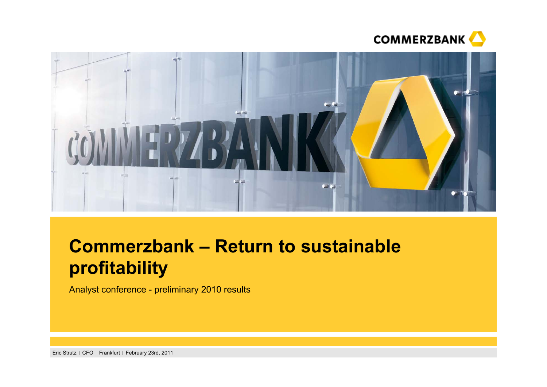



# **Commerzbank – Return to sustainable profitability**

Analyst conference - preliminary 2010 results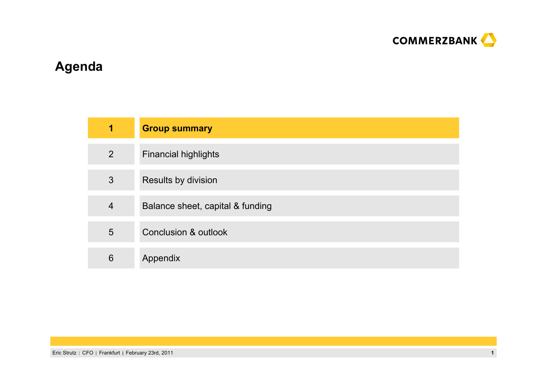

## **Agenda**

| $\blacksquare$ | <b>Group summary</b>             |
|----------------|----------------------------------|
| 2              | <b>Financial highlights</b>      |
| 3              | Results by division              |
| $\overline{4}$ | Balance sheet, capital & funding |
| 5              | <b>Conclusion &amp; outlook</b>  |
| 6              | Appendix                         |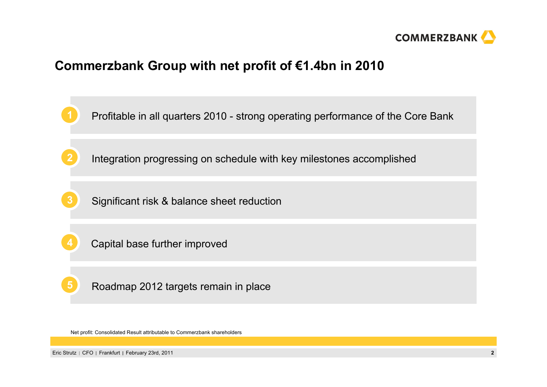

### **Commerzbank Group with net profit of €1.4bn in 2010**

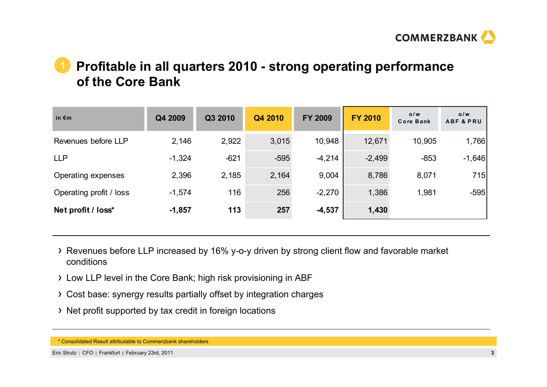

### **Profitable in all quarters 2010 - strong operating performance of the Core Bank1**

| in $\epsilon$ m         | Q4 2009  | Q3 2010 | Q4 2010 | <b>FY 2009</b> | <b>FY 2010</b> | 0/w<br><b>Core Bank</b> | 0/w<br><b>ABF &amp; PRU</b> |
|-------------------------|----------|---------|---------|----------------|----------------|-------------------------|-----------------------------|
| Revenues before LLP     | 2,146    | 2,922   | 3,015   | 10,948         | 12,671         | 10,905                  | 1,766                       |
| <b>LLP</b>              | $-1,324$ | $-621$  | $-595$  | $-4,214$       | $-2,499$       | $-853$                  | $-1,646$                    |
| Operating expenses      | 2,396    | 2,185   | 2,164   | 9,004          | 8,786          | 8,071                   | 715                         |
| Operating profit / loss | $-1,574$ | 116     | 256     | $-2,270$       | 1,386          | 1,981                   | $-595$                      |
| Net profit / loss*      | $-1,857$ | 113     | 257     | $-4,537$       | 1,430          |                         |                             |

- Revenues before LLP increased by 16% y-o-y driven by strong client flow and favorable market conditions
- Low LLP level in the Core Bank; high risk provisioning in ABF
- Cost base: synergy results partially offset by integration charges
- > Net profit supported by tax credit in foreign locations

<sup>\*</sup> Consolidated Result attributable to Commerzbank shareholders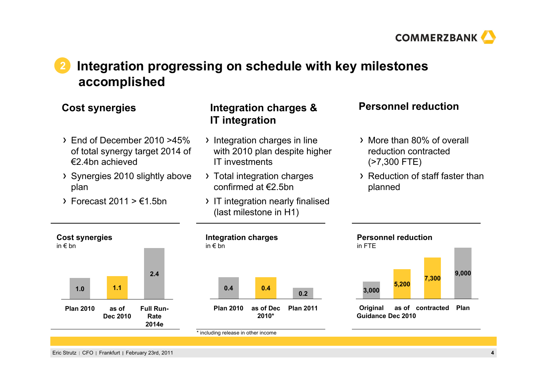

### **Integration progressing on schedule with key milestones accomplished 2**

- End of December 2010 >45% of total synergy target 2014 of €2.4bn achieved
- Synergies 2010 slightly above plan
- $\triangleright$  Forecast 2011 >  $\epsilon$ 1.5bn

### **Cost synergies Personnel reduction Integration charges & IT integration**

- $\rightarrow$  Integration charges in line with 2010 plan despite higher IT investments
- > Total integration charges confirmed at €2.5bn
- > IT integration nearly finalised (last milestone in H1)

- More than 80% of overall reduction contracted (>7,300 FTE)
- Reduction of staff faster than planned

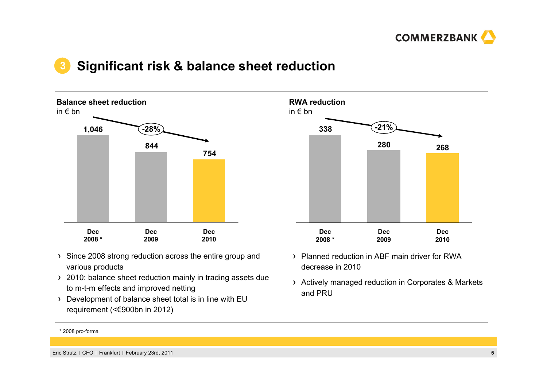

### **Significant risk & balance sheet reduction 3**



- Since 2008 strong reduction across the entire group and various products
- > 2010: balance sheet reduction mainly in trading assets due to m-t-m effects and improved netting
- Development of balance sheet total is in line with EU requirement (<€900bn in 2012)



- Planned reduction in ABF main driver for RWA decrease in 2010
- Actively managed reduction in Corporates & Markets and PRU

<sup>\* 2008</sup> pro-forma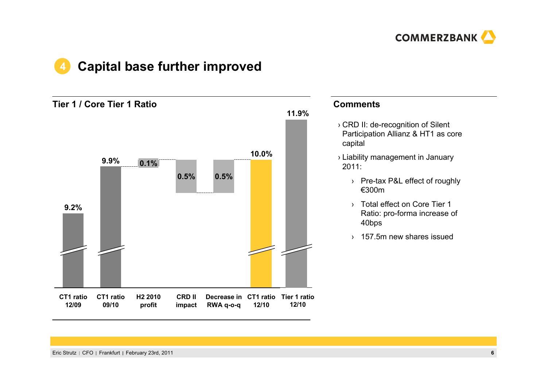

### **Capital base further improved 4**

**Tier 1 / Core Tier 1 Ratio**



### **Comments**

- › CRD II: de-recognition of Silent Participation Allianz & HT1 as core capital
- › Liability management in January 2011:
	- › Pre-tax P&L effect of roughly €300m
	- › Total effect on Core Tier 1 Ratio: pro-forma increase of 40bps
	- › 157.5m new shares issued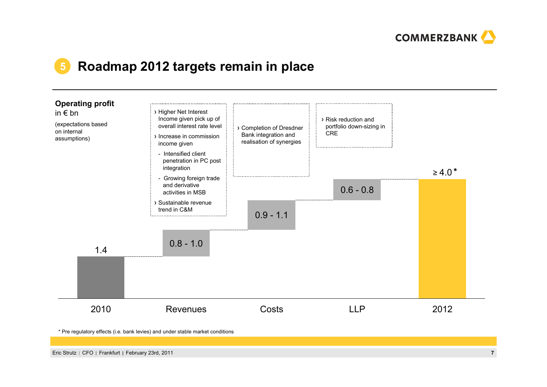

### **5Roadmap 2012 targets remain in place**



\* Pre regulatory effects (i.e. bank levies) and under stable market conditions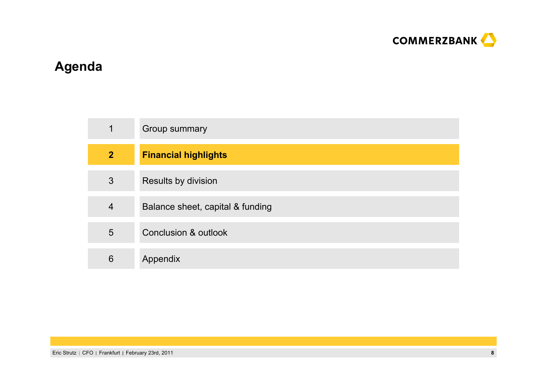

# **Agenda**

| 1              | Group summary                    |
|----------------|----------------------------------|
| $\overline{2}$ | <b>Financial highlights</b>      |
| 3              | Results by division              |
| $\overline{4}$ | Balance sheet, capital & funding |
| 5              | <b>Conclusion &amp; outlook</b>  |
| 6              | Appendix                         |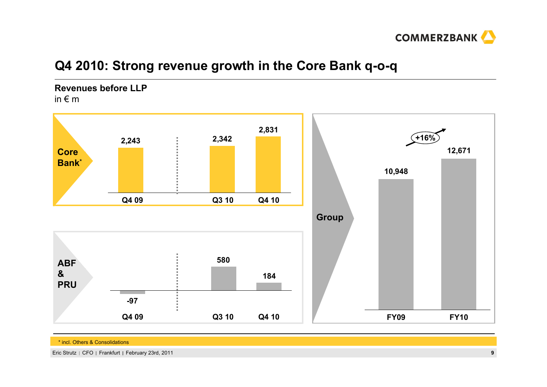

## **Q4 2010: Strong revenue growth in the Core Bank q-o-q**

### **Revenues before LLP**

in € m



\* incl. Others & Consolidations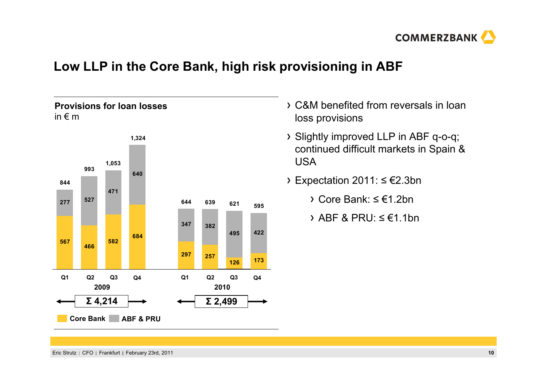

## **Low LLP in the Core Bank, high risk provisioning in ABF**

### **Provisions for loan losses** in € m



- C&M benefited from reversals in loan loss provisions
- Slightly improved LLP in ABF q-o-q; continued difficult markets in Spain & USA
- Expectation 2011: <sup>≤</sup> €2.3bn
	- Core Bank: ≤ €1.2bn
	- ABF & PRU:  $\leq \epsilon$ 1.1bn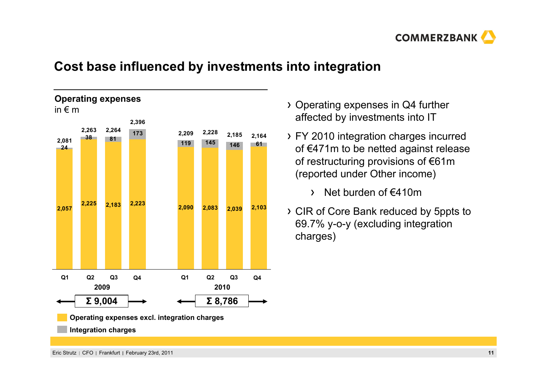

## **Cost base influenced by investments into integration**



- Operating expenses in Q4 further affected by investments into IT
- FY 2010 integration charges incurred of €471m to be netted against release of restructuring provisions of €61m (reported under Other income)
	- Net burden of €410m $\sum$
- CIR of Core Bank reduced by 5ppts to 69.7% y-o-y (excluding integration charges)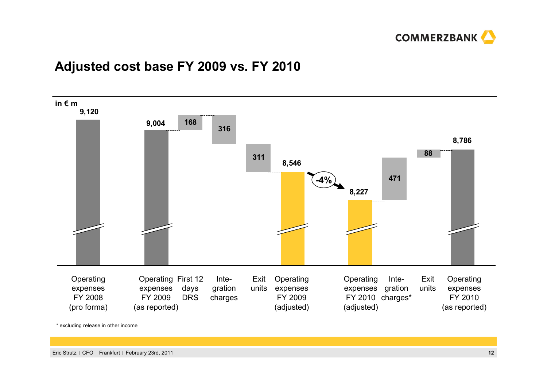

## **Adjusted cost base FY 2009 vs. FY 2010**



\* excluding release in other income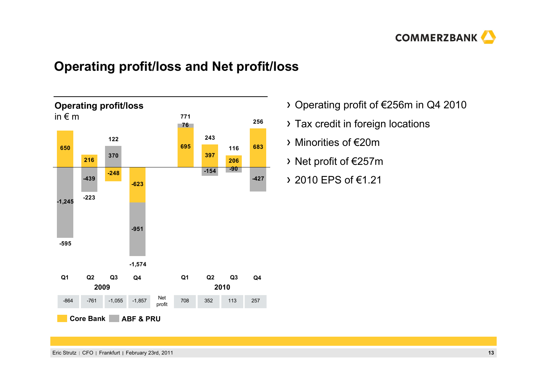

## **Operating profit/loss and Net profit/loss**



- Operating profit of €256m in Q4 2010
- Tax credit in foreign locations
- Minorities of €20m
- Net profit of €257m
- 2010 EPS of €1.21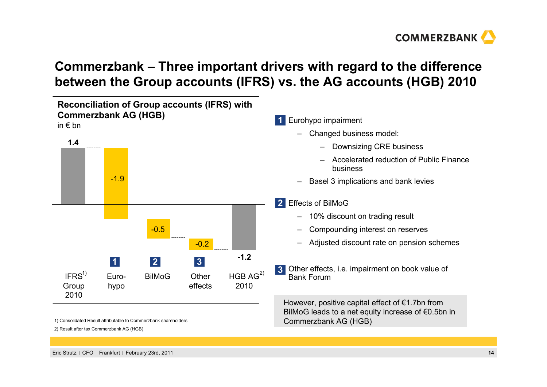

## **Commerzbank – Three important drivers with regard to the difference between the Group accounts (IFRS) vs. the AG accounts (HGB) 2010**



2) Result after tax Commerzbank AG (HGB)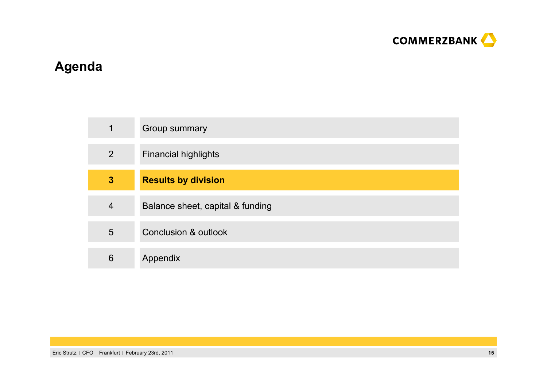

# **Agenda**

| 1              | Group summary                    |
|----------------|----------------------------------|
| $\overline{2}$ | <b>Financial highlights</b>      |
| $\mathbf{3}$   | <b>Results by division</b>       |
| $\overline{4}$ | Balance sheet, capital & funding |
| 5              | <b>Conclusion &amp; outlook</b>  |
| 6              | Appendix                         |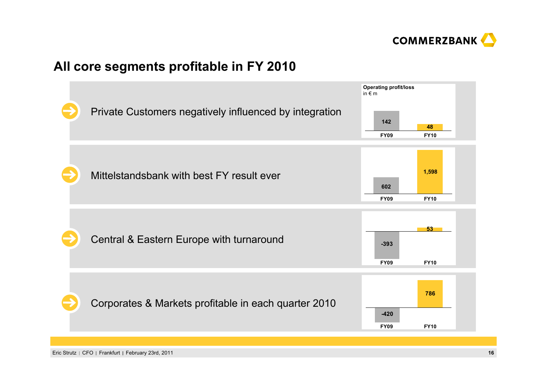

## **All core segments profitable in FY 2010**

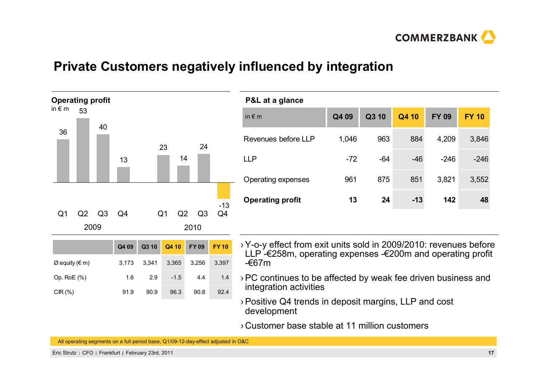

### **Private Customers negatively influenced by integration**



 $\varnothing$  equity (€ m) 3,173 3,341 3,365 3,256 3,397

Op. RoE (%) 1.6 2.9 -1.5 4.4 1.4

CIR (%) 91.9 90.9 96.3 90.8 92.4

| P&L at a glance           |       |       |       |              |              |
|---------------------------|-------|-------|-------|--------------|--------------|
| in $\epsilon$ m           | Q4 09 | Q3 10 | Q4 10 | <b>FY 09</b> | <b>FY 10</b> |
| Revenues before LLP       | 1,046 | 963   | 884   | 4,209        | 3,846        |
| <b>LLP</b>                | $-72$ | $-64$ | $-46$ | $-246$       | $-246$       |
| <b>Operating expenses</b> | 961   | 875   | 851   | 3,821        | 3,552        |
| <b>Operating profit</b>   | 13    | 24    | $-13$ | 142          | 48           |

- ›Y-o-y effect from exit units sold in 2009/2010: revenues before LLP -€258m, operating expenses -€200m and operating profit -€67m
- ›PC continues to be affected by weak fee driven business and integration activities
- ›Positive Q4 trends in deposit margins, LLP and cost development
- › Customer base stable at 11 million customers

All operating segments on a full period base, Q1/09-12-day-effect adjusted in O&C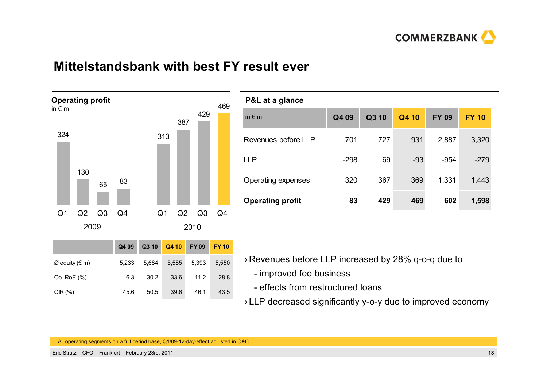

### **Mittelstandsbank with best FY result ever**



| P&L at a glance         |        |       |       |              |              |
|-------------------------|--------|-------|-------|--------------|--------------|
| in $\epsilon$ m         | Q4 09  | Q3 10 | Q4 10 | <b>FY 09</b> | <b>FY 10</b> |
| Revenues before LLP     | 701    | 727   | 931   | 2,887        | 3,320        |
| <b>LLP</b>              | $-298$ | 69    | $-93$ | $-954$       | $-279$       |
| Operating expenses      | 320    | 367   | 369   | 1,331        | 1,443        |
| <b>Operating profit</b> | 83     | 429   | 469   | 602          | 1,598        |
|                         |        |       |       |              |              |

|                                 | Q4 09 | Q3 10 | Q4 10 | FY 09 | <b>FY10</b> |
|---------------------------------|-------|-------|-------|-------|-------------|
| $\varnothing$ equity ( $\in$ m) | 5.233 | 5.684 | 5,585 | 5,393 | 5.550       |
| Op. Ro $E(%)$                   | 6.3   | 30.2  | 33.6  | 11.2  | 28.8        |
| CIR $(%)$                       | 45.6  | 50.5  | 39.6  | 46.1  | 43.5        |

- › Revenues before LLP increased by 28% q-o-q due to
	- improved fee business
	- effects from restructured loans
- › LLP decreased significantly y-o-y due to improved economy

All operating segments on a full period base, Q1/09-12-day-effect adjusted in O&C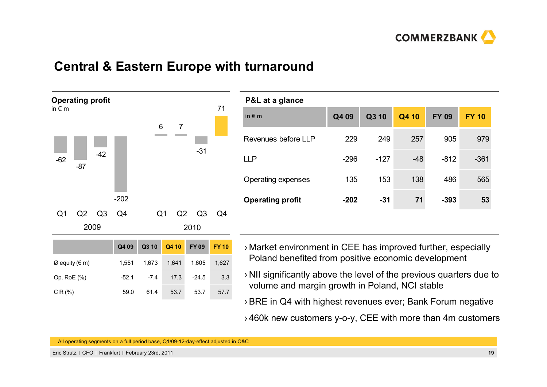

### **Central & Eastern Europe with turnaround**



| P&L at a glance         |        |        |       |              |              |
|-------------------------|--------|--------|-------|--------------|--------------|
| in $\epsilon$ m         | Q4 09  | Q3 10  | Q4 10 | <b>FY 09</b> | <b>FY 10</b> |
| Revenues before LLP     | 229    | 249    | 257   | 905          | 979          |
| <b>LLP</b>              | $-296$ | $-127$ | $-48$ | $-812$       | $-361$       |
| Operating expenses      | 135    | 153    | 138   | 486          | 565          |
| <b>Operating profit</b> | $-202$ | $-31$  | 71    | $-393$       | 53           |
|                         |        |        |       |              |              |

- › Market environment in CEE has improved further, especially Poland benefited from positive economic development
- › NII significantly above the level of the previous quarters due to volume and margin growth in Poland, NCI stable
- ›BRE in Q4 with highest revenues ever; Bank Forum negative
- › 460k new customers y-o-y, CEE with more than 4m customers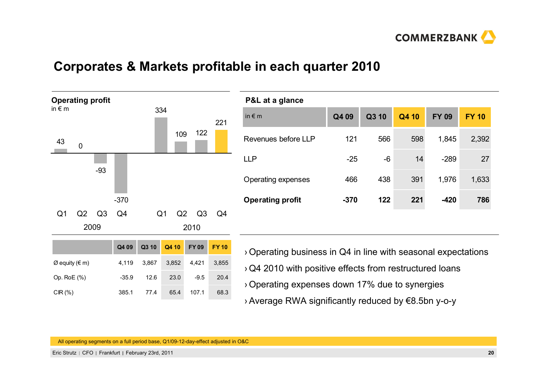

## **Corporates & Markets profitable in each quarter 2010**



| P&L at a glance         |        |       |       |              |              |
|-------------------------|--------|-------|-------|--------------|--------------|
| in $\epsilon$ m         | Q4 09  | Q3 10 | Q4 10 | <b>FY 09</b> | <b>FY 10</b> |
| Revenues before LLP     | 121    | 566   | 598   | 1,845        | 2,392        |
| <b>LLP</b>              | $-25$  | $-6$  | 14    | $-289$       | 27           |
| Operating expenses      | 466    | 438   | 391   | 1,976        | 1,633        |
| <b>Operating profit</b> | $-370$ | 122   | 221   | $-420$       | 786          |
|                         |        |       |       |              |              |

- ›Operating business in Q4 in line with seasonal expectations
- ›Q4 2010 with positive effects from restructured loans
- ›Operating expenses down 17% due to synergies
- ›Average RWA significantly reduced by €8.5bn y-o-y

All operating segments on a full period base, Q1/09-12-day-effect adjusted in O&C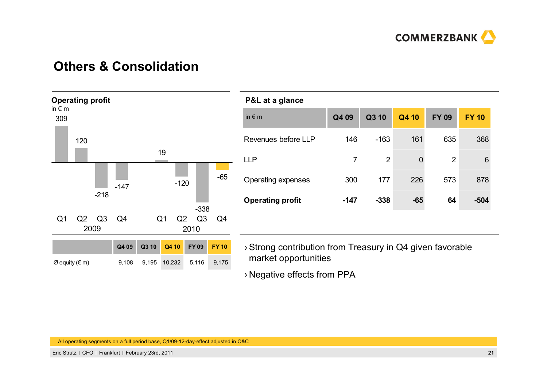

### **Others & Consolidation**



### **P&L at a glance**

| --- -- 9                |        |                |       |              |                 |
|-------------------------|--------|----------------|-------|--------------|-----------------|
| in $\epsilon$ m         | Q4 09  | Q3 10          | Q4 10 | <b>FY 09</b> | <b>FY 10</b>    |
| Revenues before LLP     | 146    | $-163$         | 161   | 635          | 368             |
| <b>LLP</b>              | 7      | $\overline{2}$ | 0     | 2            | $6\phantom{1}6$ |
| Operating expenses      | 300    | 177            | 226   | 573          | 878             |
| <b>Operating profit</b> | $-147$ | $-338$         | $-65$ | 64           | $-504$          |
|                         |        |                |       |              |                 |

›Strong contribution from Treasury in Q4 given favorable market opportunities

› Negative effects from PPA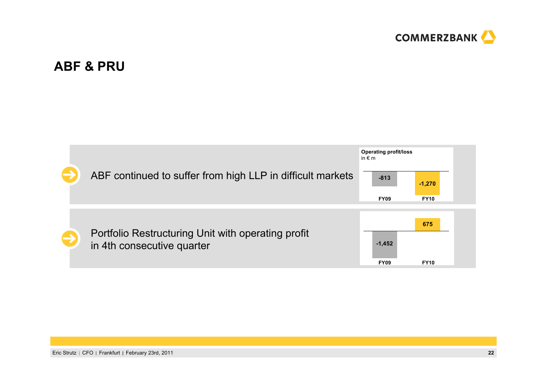

## **ABF & PRU**

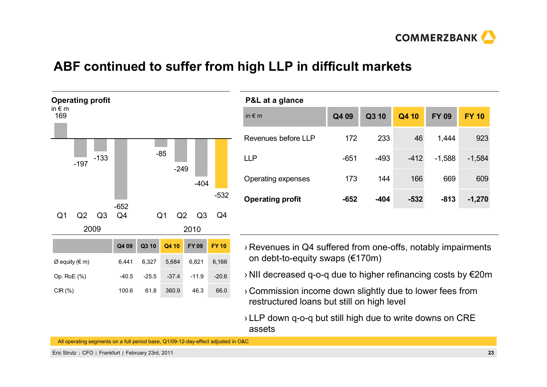

## **ABF continued to suffer from high LLP in difficult markets**



| P&L at a glance         |        |        |        |              |              |
|-------------------------|--------|--------|--------|--------------|--------------|
| in $\notin$ m           | Q4 09  | Q3 10  | Q4 10  | <b>FY 09</b> | <b>FY 10</b> |
| Revenues before LLP     | 172    | 233    | 46     | 1,444        | 923          |
| I I P                   | $-651$ | $-493$ | $-412$ | $-1,588$     | $-1,584$     |
| Operating expenses      | 173    | 144    | 166    | 669          | 609          |
| <b>Operating profit</b> | $-652$ | $-404$ | $-532$ | $-813$       | $-1,270$     |

- › Revenues in Q4 suffered from one-offs, notably impairments on debt-to-equity swaps (€170m)
- › NII decreased q-o-q due to higher refinancing costs by €20m
- › Commission income down slightly due to lower fees from restructured loans but still on high level
- › LLP down q-o-q but still high due to write downs on CRE assets

All operating segments on a full period base, Q1/09-12-day-effect adjusted in O&C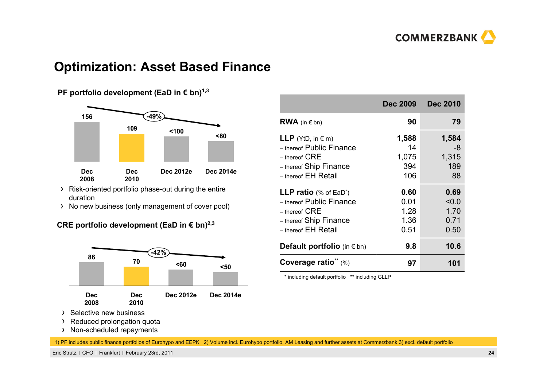

### **Optimization: Asset Based Finance**

### **PF portfolio development (EaD in € bn)<sup>1,3</sup>**



- Risk-oriented portfolio phase-out during the entire duration
- > No new business (only management of cover pool)

### **CRE portfolio development (EaD in € bn)2,3**



- $\sum_{i=1}^{n}$ Selective new business
- > Reduced prolongation quota
- > Non-scheduled repayments

1) PF includes public finance portfolios of Eurohypo and EEPK 2) Volume incl. Eurohypo portfolio, AM Leasing and further assets at Commerzbank 3) excl. default portfolio

Eric Strutz CFO Frankfurt February 23rd, 2011 **24**

|                                           | <b>Dec 2009</b> | <b>Dec 2010</b> |
|-------------------------------------------|-----------------|-----------------|
| <b>RWA</b> (in $\in$ bn)                  | 90              | 79              |
| <b>LLP</b> (YtD, in $\in$ m)              | 1,588           | 1,584           |
| - thereof Public Finance                  | 14              | -8              |
| $-$ thereof $CRE$                         | 1,075           | 1,315           |
| - thereof Ship Finance                    | 394             | 189             |
| – thereof EH Retail                       | 106             | 88              |
| <b>LLP ratio</b> (% of EaD <sup>*</sup> ) | 0.60            | 0.69            |
| - thereof Public Finance                  | 0.01            | < 0.0           |
| $-$ thereof $CRE$                         | 1.28            | 1.70            |
| - thereof Ship Finance                    | 1.36            | 0.71            |
| – <sub>thereof</sub> EH Retail            | 0.51            | 0.50            |
| <b>Default portfolio</b> (in $\in$ bn)    | 9.8             | 10.6            |
| Coverage ratio* $(\%)$                    | 97              | 101             |

\* including default portfolio \*\* including GLLP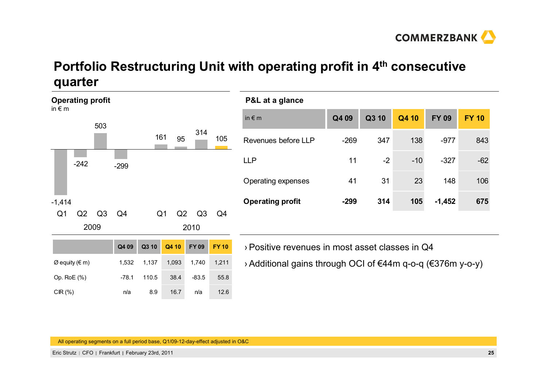

## **Portfolio Restructuring Unit with operating profit in 4th consecutive quarter**

| <b>Operating profit</b><br>in $\epsilon$ m |        |                | P&L at a glance         |                |       |                     |                |                                                            |        |        |       |              |              |
|--------------------------------------------|--------|----------------|-------------------------|----------------|-------|---------------------|----------------|------------------------------------------------------------|--------|--------|-------|--------------|--------------|
|                                            |        | 503            |                         |                |       |                     |                | in $\notin$ m                                              | Q4 09  | Q3 10  | Q4 10 | <b>FY 09</b> | <b>FY 10</b> |
|                                            |        |                | 314<br>161<br>95<br>105 |                |       | Revenues before LLP | $-269$         | 347                                                        | 138    | $-977$ | 843   |              |              |
|                                            | $-242$ |                | $-299$                  |                |       |                     |                | <b>LLP</b>                                                 | 11     | $-2$   | $-10$ | $-327$       | $-62$        |
|                                            |        |                |                         |                |       |                     |                | Operating expenses                                         | 41     | 31     | 23    | 148          | 106          |
| $-1,414$                                   |        |                |                         |                |       |                     |                | <b>Operating profit</b>                                    | $-299$ | 314    | 105   | $-1,452$     | 675          |
| Q <sub>1</sub>                             | Q2     | Q <sub>3</sub> | Q4                      | Q <sub>1</sub> | Q2    | Q3                  | Q <sub>4</sub> |                                                            |        |        |       |              |              |
|                                            | 2009   |                |                         |                |       | 2010                |                |                                                            |        |        |       |              |              |
|                                            |        |                | Q4 09                   | Q3 10          | Q4 10 | <b>FY09</b>         | <b>FY10</b>    | > Positive revenues in most asset classes in Q4            |        |        |       |              |              |
| $\varnothing$ equity ( $\in$ m)            |        |                | 1,532                   | 1,137          | 1,093 | 1,740               | 1,211          | > Additional gains through OCI of €44m q-o-q (€376m y-o-y) |        |        |       |              |              |
| Op. RoE (%)                                |        |                | $-78.1$                 | 110.5          | 38.4  | $-83.5$             | 55.8           |                                                            |        |        |       |              |              |
| $CIR(\%)$                                  |        |                | n/a                     | 8.9            | 16.7  | n/a                 | 12.6           |                                                            |        |        |       |              |              |

All operating segments on a full period base, Q1/09-12-day-effect adjusted in O&C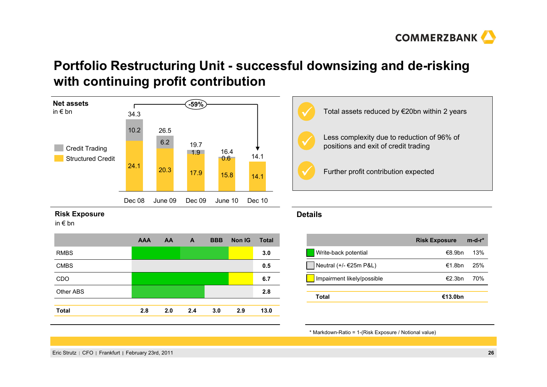

### **Portfolio Restructuring Unit - successful downsizing and de-risking with continuing profit contribution**



### **Risk Exposure**

in € bn

|              | <b>AAA</b> | AA  | A   | <b>BBB</b> | <b>Non IG</b> | <b>Total</b> |
|--------------|------------|-----|-----|------------|---------------|--------------|
| <b>RMBS</b>  |            |     |     |            |               | 3.0          |
| <b>CMBS</b>  |            |     |     |            |               | 0.5          |
| CDO          |            |     |     |            |               | 6.7          |
| Other ABS    |            |     |     |            |               | 2.8          |
|              |            |     |     |            |               |              |
| <b>Total</b> | 2.8        | 2.0 | 2.4 | 3.0        | 2.9           | 13.0         |
|              |            |     |     |            |               |              |



### **Details**

|                            | <b>Risk Exposure</b> | $m-d-r^*$ |
|----------------------------|----------------------|-----------|
| Write-back potential       | €8.9hn               | 13%       |
| Neutral (+/- €25m P&L)     | €1.8bn               | 25%       |
| Impairment likely/possible | €2.3bn               | 70%       |
|                            |                      |           |
| Total                      | €13.0bn              |           |

\* Markdown-Ratio = 1-(Risk Exposure / Notional value)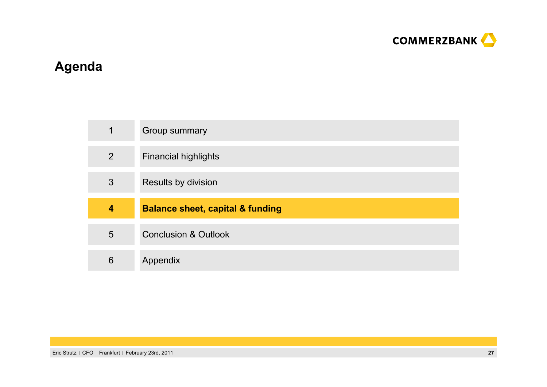

# **Agenda**

| 1              | Group summary                               |
|----------------|---------------------------------------------|
| $\overline{2}$ | <b>Financial highlights</b>                 |
| 3              | Results by division                         |
|                |                                             |
| 4              | <b>Balance sheet, capital &amp; funding</b> |
| 5              | <b>Conclusion &amp; Outlook</b>             |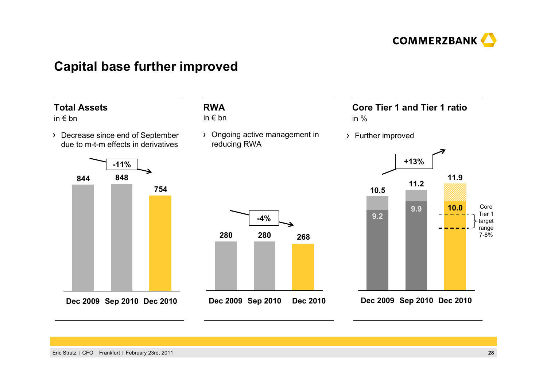

### **Capital base further improved**

**RWA**in € bn

### **Total Assets**

- in € bn
- Decrease since end of September due to m-t-m effects in derivatives





Ongoing active management in

reducing RWA

### **Core Tier 1 and Tier 1 ratio**in %

Further improved



**Dec 2010 Sep 2010 Dec 2009**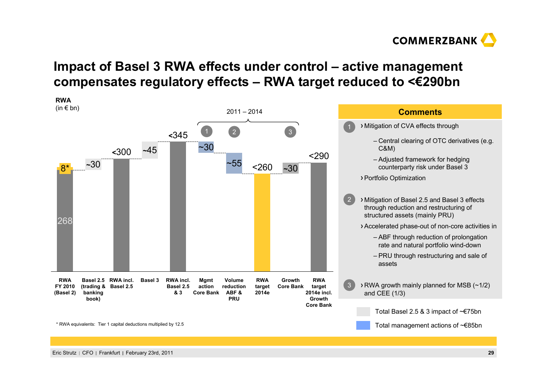

## **Impact of Basel 3 RWA effects under control – active management compensates regulatory effects – RWA target reduced to <€290bn**

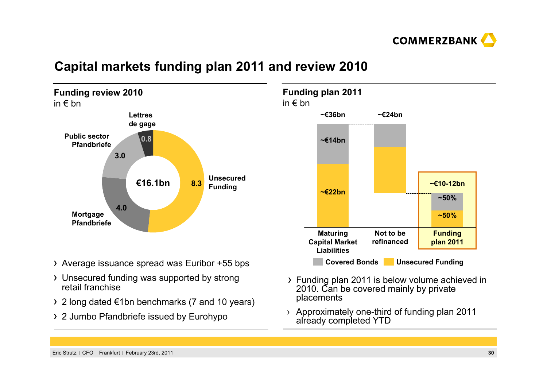

## **Capital markets funding plan 2011 and review 2010**



- Average issuance spread was Euribor +55 bps
- Unsecured funding was supported by strong retail franchise
- 2 long dated €1bn benchmarks (7 and 10 years)
- 2 Jumbo Pfandbriefe issued by Eurohypo



- Funding plan 2011 is below volume achieved in 2010. Can be covered mainly by private placements
- › Approximately one-third of funding plan 2011 already completed YTD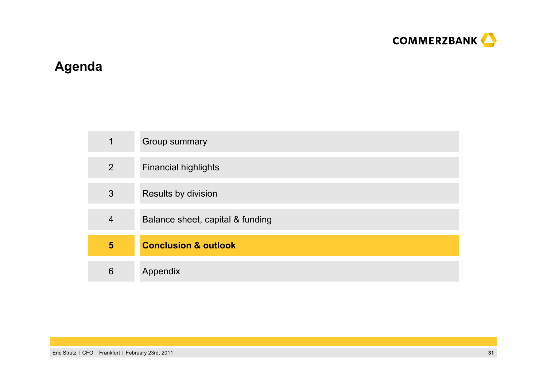

# **Agenda**

| 1              | Group summary                    |
|----------------|----------------------------------|
| $\overline{2}$ | <b>Financial highlights</b>      |
| 3              | Results by division              |
| $\overline{4}$ | Balance sheet, capital & funding |
| 5              | <b>Conclusion &amp; outlook</b>  |
| 6              | Appendix                         |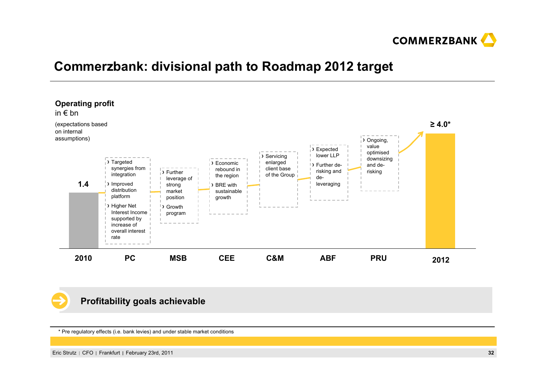

## **Commerzbank: divisional path to Roadmap 2012 target**



### **Profitability goals achievable**

\* Pre regulatory effects (i.e. bank levies) and under stable market conditions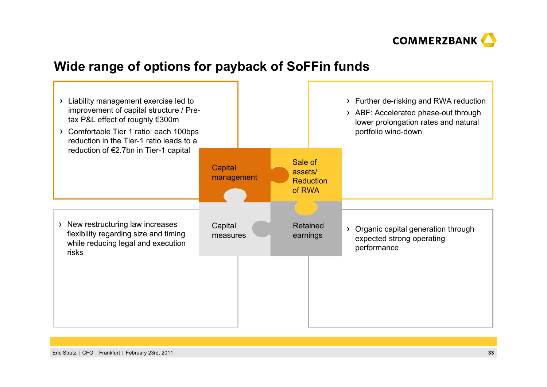

## **Wide range of options for payback of SoFFin funds**

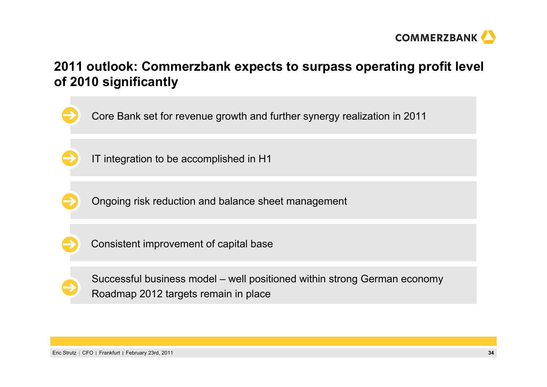

## **2011 outlook: Commerzbank expects to surpass operating profit level of 2010 significantly**

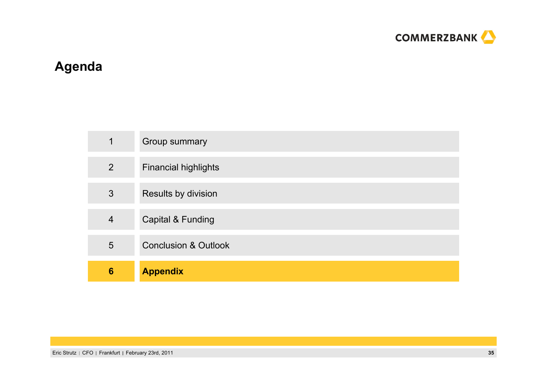

# **Agenda**

| 1               | Group summary                   |
|-----------------|---------------------------------|
| $\overline{2}$  | <b>Financial highlights</b>     |
| 3               | Results by division             |
| $\overline{4}$  | Capital & Funding               |
| 5               | <b>Conclusion &amp; Outlook</b> |
| $6\phantom{1}6$ | <b>Appendix</b>                 |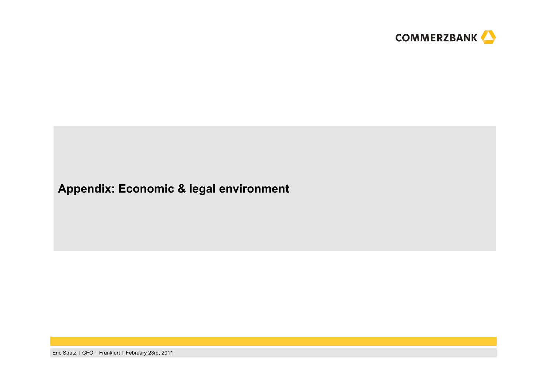

# **Appendix: Economic & legal environment**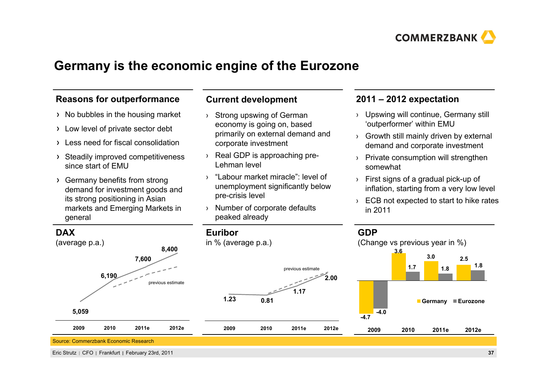

### **Germany is the economic engine of the Eurozone**

### **Reasons for outperformance**

- $\rightarrow$  No bubbles in the housing market
- Low level of private sector debt
- Less need for fiscal consolidation
- Steadily improved competitiveness since start of EMU
- Germany benefits from strong demand for investment goods and its strong positioning in Asian markets and Emerging Markets in general

### **Current development**

- › Strong upswing of German economy is going on, based primarily on external demand and corporate investment
- › Real GDP is approaching pre-Lehman level
- › "Labour market miracle": level of unemployment significantly below pre-crisis level
- › Number of corporate defaults peaked already

### **2011 – 2012 expectation**

- › Upswing will continue, Germany still 'outperformer' within EMU
- › Growth still mainly driven by external demand and corporate investment
- › Private consumption will strengthen somewhat
- › First signs of a gradual pick-up of inflation, starting from a very low level
- › ECB not expected to start to hike rates in 2011

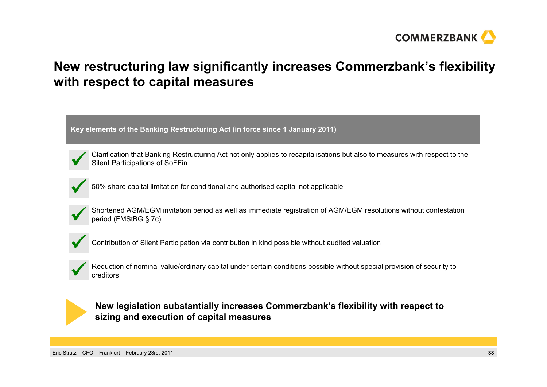

## **New restructuring law significantly increases Commerzbank's flexibility with respect to capital measures**

**Key elements of the Banking Restructuring Act (in force since 1 January 2011)**



Clarification that Banking Restructuring Act not only applies to recapitalisations but also to measures with respect to the Silent Participations of SoFFin



50% share capital limitation for conditional and authorised capital not applicable



Shortened AGM/EGM invitation period as well as immediate registration of AGM/EGM resolutions without contestation period (FMStBG § 7c)



Contribution of Silent Participation via contribution in kind possible without audited valuation



Reduction of nominal value/ordinary capital under certain conditions possible without special provision of security to creditors



**New legislation substantially increases Commerzbank's flexibility with respect to sizing and execution of capital measures**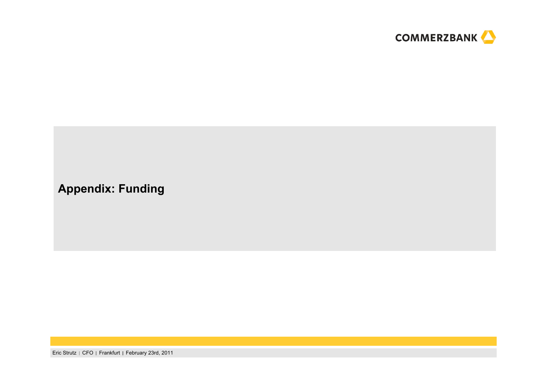

## **Appendix: Funding**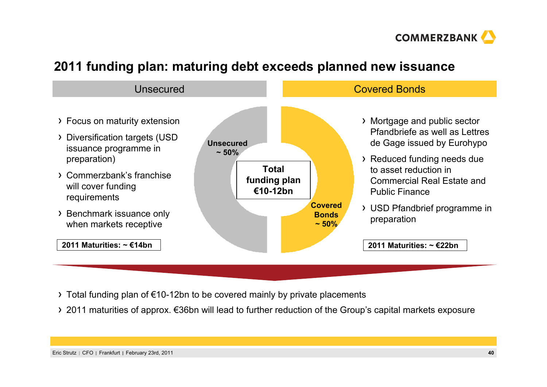

## **2011 funding plan: maturing debt exceeds planned new issuance**



- Total funding plan of €10-12bn to be covered mainly by private placements
- 2011 maturities of approx. €36bn will lead to further reduction of the Group's capital markets exposure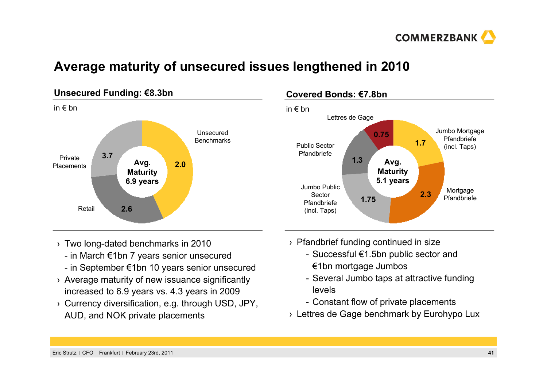

## **Average maturity of unsecured issues lengthened in 2010**



### **Covered Bonds: €7.8bn**



- › Two long-dated benchmarks in 2010
	- in March €1bn 7 years senior unsecured
	- in September €1bn 10 years senior unsecured
- › Average maturity of new issuance significantly increased to 6.9 years vs. 4.3 years in 2009
- › Currency diversification, e.g. through USD, JPY, AUD, and NOK private placements
- › Pfandbrief funding continued in size
	- Successful €1.5bn public sector and €1bn mortgage Jumbos
	- Several Jumbo taps at attractive funding levels
	- Constant flow of private placements
- › Lettres de Gage benchmark by Eurohypo Lux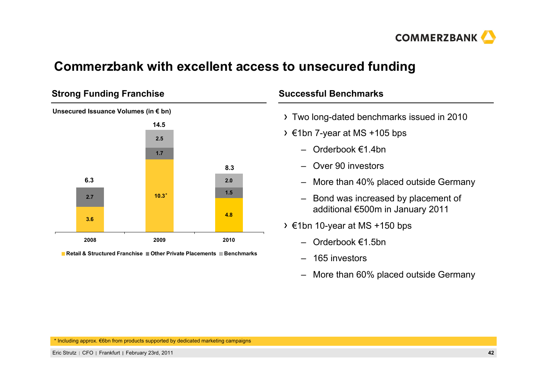

### **Commerzbank with excellent access to unsecured funding**

### **Strong Funding Franchise**



**Retail & Structured Franchise Other Private Placements Benchmarks**

### **Successful Benchmarks**

- Two long-dated benchmarks issued in 2010
- $\rightarrow$  €1bn 7-year at MS +105 bps
	- Orderbook €1.4bn
	- Over 90 investors
	- More than 40% placed outside Germany
	- Bond was increased by placement of additional €500m in January 2011
- €1bn 10-year at MS +150 bps
	- Orderbook €1.5bn
	- 165 investors
	- More than 60% placed outside Germany

\* Including approx. €6bn from products supported by dedicated marketing campaigns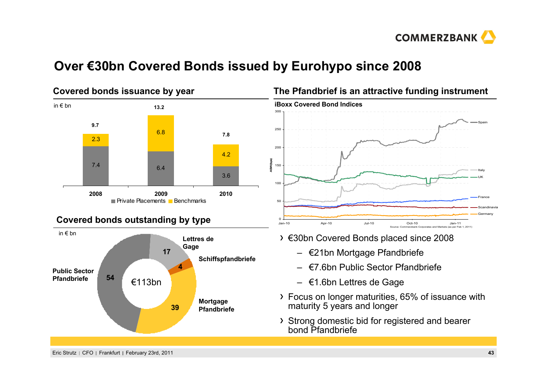

## **Over €30bn Covered Bonds issued by Eurohypo since 2008**



### **The Pfandbrief is an attractive funding instrument**



- €30bn Covered Bonds placed since 2008
	- €21bn Mortgage Pfandbriefe
	- €7.6bn Public Sector Pfandbriefe
	- €1.6bn Lettres de Gage
- Focus on longer maturities, 65% of issuance with maturity 5 years and longer
- Strong domestic bid for registered and bearer bond Pfandbriefe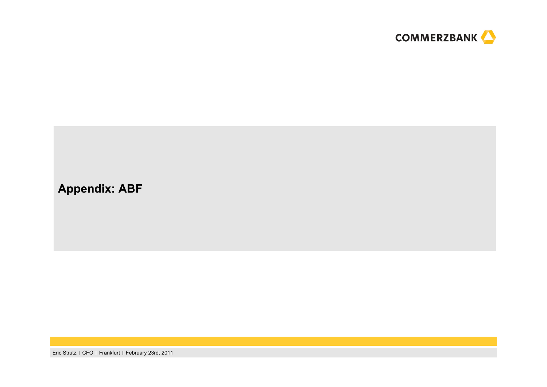

### **Appendix: ABF**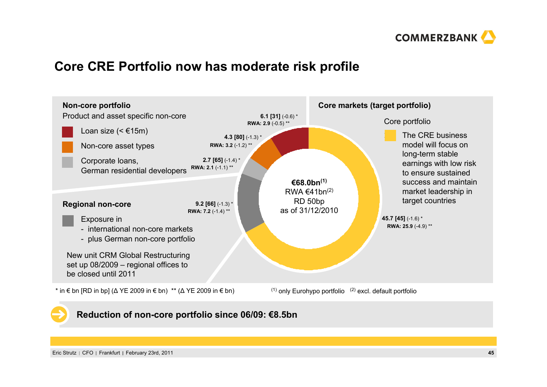

## **Core CRE Portfolio now has moderate risk profile**



### **Reduction of non-core portfolio since 06/09: €8.5bn**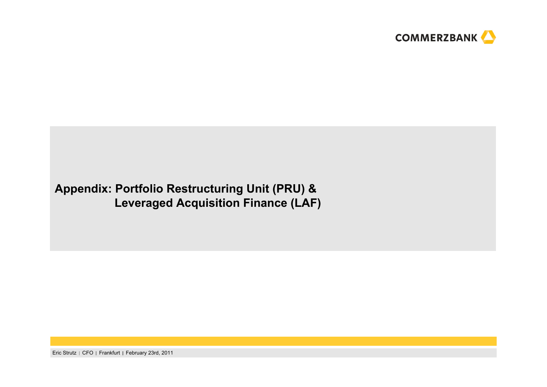

### **Appendix: Portfolio Restructuring Unit (PRU) & Leveraged Acquisition Finance (LAF)**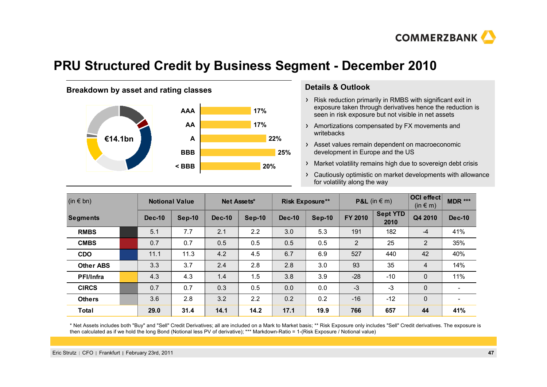

### **PRU Structured Credit by Business Segment - December 2010**

### **Breakdown by asset and rating classes by Details & Outlook**



- Risk reduction primarily in RMBS with significant exit in exposure taken through derivatives hence the reduction is seen in risk exposure but not visible in net assets
- Amortizations compensated by FX movements and writebacks
- Asset values remain dependent on macroeconomic development in Europe and the US
- Market volatility remains high due to sovereign debt crisis
- Cautiously optimistic on market developments with allowance for volatility along the way

| $(in \in bn)$    |  | <b>Notional Value</b> |        | Net Assets*   |          |          | <b>Risk Exposure**</b> |         | <b>P&amp;L</b> (in $\in$ m) | <b>OCI</b> effect<br>$(in \in m)$ | <b>MDR ***</b>           |
|------------------|--|-----------------------|--------|---------------|----------|----------|------------------------|---------|-----------------------------|-----------------------------------|--------------------------|
| <b>Segments</b>  |  | <b>Dec-10</b>         | Sep-10 | <b>Dec-10</b> | $Sep-10$ | $Dec-10$ | <b>Sep-10</b>          | FY 2010 | <b>Sept YTD</b><br>2010     | Q4 2010                           | <b>Dec-10</b>            |
| <b>RMBS</b>      |  | 5.1                   | 7.7    | 2.1           | 2.2      | 3.0      | 5.3                    | 191     | 182                         | $-4$                              | 41%                      |
| <b>CMBS</b>      |  | 0.7                   | 0.7    | 0.5           | 0.5      | 0.5      | 0.5                    | 2       | 25                          | 2                                 | 35%                      |
| <b>CDO</b>       |  | 11.1                  | 11.3   | 4.2           | 4.5      | 6.7      | 6.9                    | 527     | 440                         | 42                                | 40%                      |
| <b>Other ABS</b> |  | 3.3                   | 3.7    | 2.4           | 2.8      | 2.8      | 3.0                    | 93      | 35                          | $\overline{4}$                    | 14%                      |
| <b>PFI/Infra</b> |  | 4.3                   | 4.3    | 1.4           | 1.5      | 3.8      | 3.9                    | $-28$   | $-10$                       | $\mathbf 0$                       | 11%                      |
| <b>CIRCS</b>     |  | 0.7                   | 0.7    | 0.3           | 0.5      | 0.0      | 0.0                    | $-3$    | $-3$                        | $\mathbf 0$                       |                          |
| <b>Others</b>    |  | 3.6                   | 2.8    | 3.2           | 2.2      | 0.2      | 0.2                    | $-16$   | $-12$                       | 0                                 | $\overline{\phantom{0}}$ |
| <b>Total</b>     |  | 29.0                  | 31.4   | 14.1          | 14.2     | 17.1     | 19.9                   | 766     | 657                         | 44                                | 41%                      |

\* Net Assets includes both "Buy" and "Sell" Credit Derivatives; all are included on a Mark to Market basis; \*\* Risk Exposure only includes "Sell" Credit derivatives. The exposure is then calculated as if we hold the long Bond (Notional less PV of derivative); \*\*\* Markdown-Ratio = 1-(Risk Exposure / Notional value)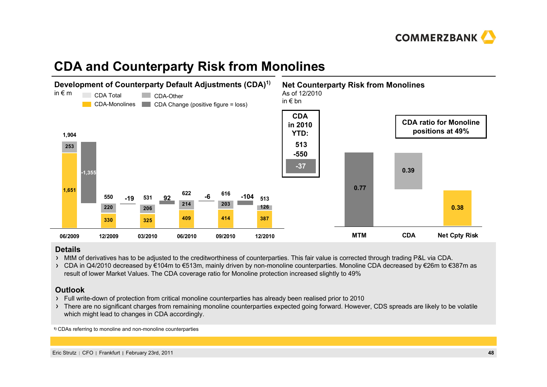

# **CDA and Counterparty Risk from Monolines**



### **Details**

- MtM of derivatives has to be adjusted to the creditworthiness of counterparties. This fair value is corrected through trading P&L via CDA.
- CDA in Q4/2010 decreased by €104m to €513m, mainly driven by non-monoline counterparties. Monoline CDA decreased by €26m to €387m as result of lower Market Values. The CDA coverage ratio for Monoline protection increased slightly to 49%

### **Outlook**

- Full write-down of protection from critical monoline counterparties has already been realised prior to 2010
- > There are no significant charges from remaining monoline counterparties expected going forward. However, CDS spreads are likely to be volatile which might lead to changes in CDA accordingly.

**1)** CDAs referring to monoline and non-monoline counterparties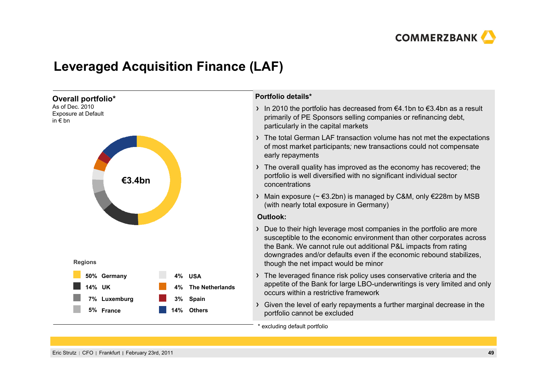

## **Leveraged Acquisition Finance (LAF)**

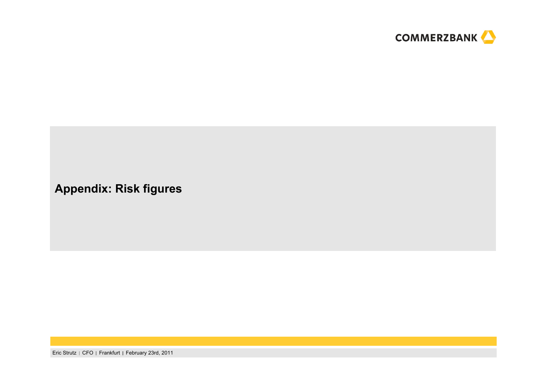

### **Appendix: Risk figures**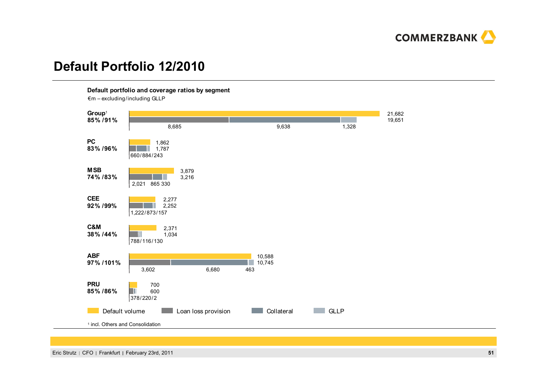

## **Default Portfolio 12/2010**

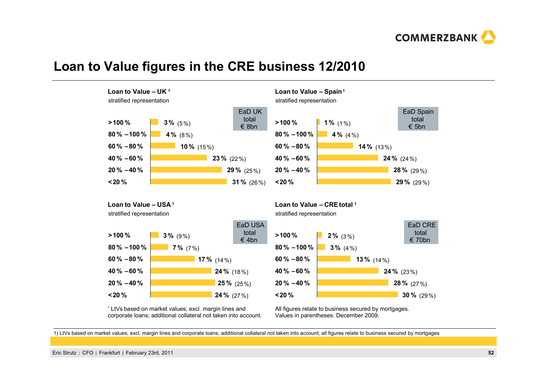

### **Loan to Value figures in the CRE business 12/2010**



1) LtVs based on market values; excl. margin lines and corporate loans; additional collateral not taken into account; all figures relate to business secured by mortgages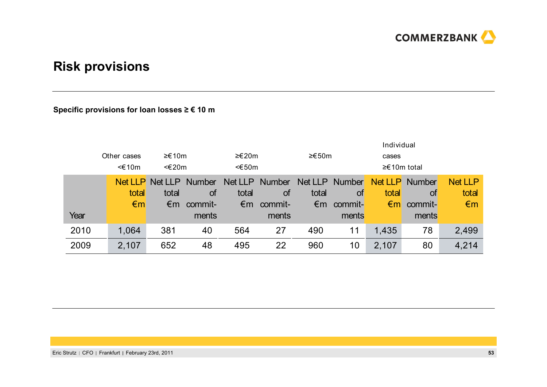

## **Risk provisions**

### **Specific provisions for loan losses ≥ € 10 <sup>m</sup>**

|      |                |                |           |                 |               |              | Individual    |                |               |                |
|------|----------------|----------------|-----------|-----------------|---------------|--------------|---------------|----------------|---------------|----------------|
|      | Other cases    | ≥€10m          |           |                 | ≥€20m         | ≥€50m        |               | cases          |               |                |
|      | $\leq$ 10m     | <€20m          |           | $<\epsilon$ 50m |               |              |               | $≥€10m$ total  |               |                |
|      | Net LLP        | Net LLP Number |           | Net LLP         | <b>Number</b> | Net LLP      | <b>Number</b> | <b>Net LLP</b> | <b>Number</b> | <b>Net LLP</b> |
|      | total<br>total |                | <b>of</b> | total           | <b>of</b>     | total        | 0t            | total          | total         |                |
|      | $\epsilon$ m   | €m             | commit-   | €m              | commit-       | $\epsilon$ m | commit-       | $\epsilon$ m   | commit-       | $\epsilon$ m   |
| Year |                |                | ments     |                 | ments         |              | ments         |                | ments         |                |
| 2010 | 1,064          | 381            | 40        | 564             | 27            | 490          | 11            | 1,435          | 78            | 2,499          |
| 2009 | 2,107          | 652            | 48        | 495             | 22            | 960          | 10            | 2,107          | 80            | 4,214          |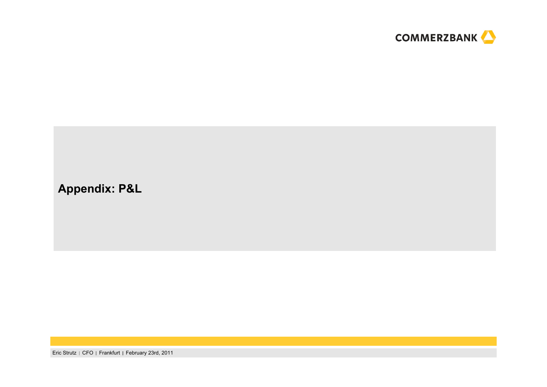

## **Appendix: P&L**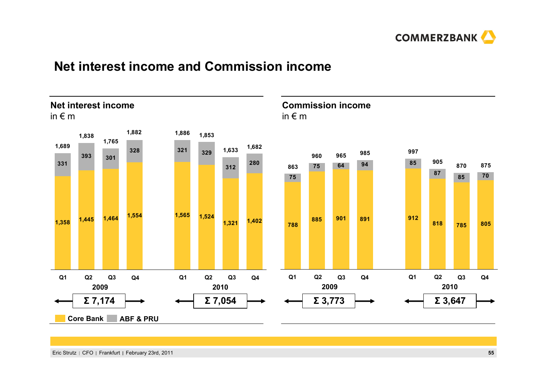

## **Net interest income and Commission income**

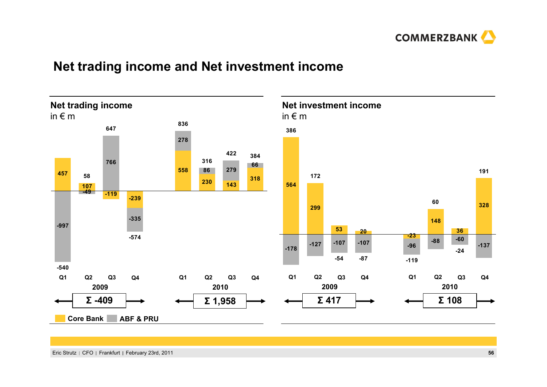

## **Net trading income and Net investment income**

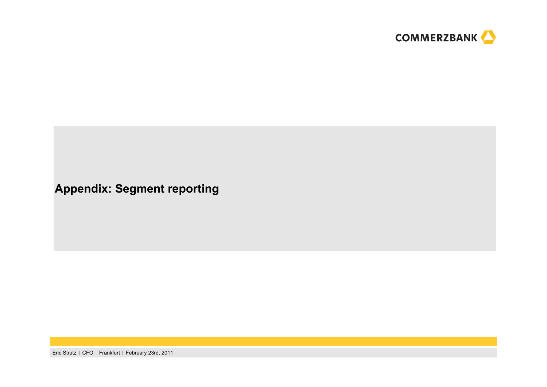

### **Appendix: Segment reporting**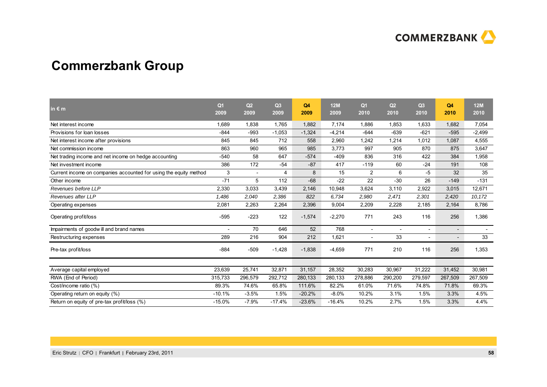

## **Commerzbank Group**

| in $\epsilon$ m                                                   | Q <sub>1</sub><br>2009 | Q <sub>2</sub><br>2009   | Q3<br>2009 | Q4<br>2009 | 12M<br>2009 | Q <sub>1</sub><br>2010 | Q2<br>2010               | Q3<br>2010               | Q <sub>4</sub><br>2010   | <b>12M</b><br>2010 |
|-------------------------------------------------------------------|------------------------|--------------------------|------------|------------|-------------|------------------------|--------------------------|--------------------------|--------------------------|--------------------|
| Net interest income                                               | 1,689                  | 1,838                    | 1,765      | 1,882      | 7,174       | 1,886                  | 1,853                    | 1,633                    | 1,682                    | 7,054              |
| Provisions for loan losses                                        | $-844$                 | $-993$                   | $-1,053$   | $-1,324$   | $-4,214$    | $-644$                 | $-639$                   | $-621$                   | $-595$                   | $-2,499$           |
| Net interest income after provisions                              | 845                    | 845                      | 712        | 558        | 2,960       | 1,242                  | 1,214                    | 1,012                    | 1,087                    | 4,555              |
| Net commission income                                             | 863                    | 960                      | 965        | 985        | 3,773       | 997                    | 905                      | 870                      | 875                      | 3,647              |
| Net trading income and net income on hedge accounting             | $-540$                 | 58                       | 647        | $-574$     | $-409$      | 836                    | 316                      | 422                      | 384                      | 1,958              |
| Net investment income                                             | 386                    | 172                      | $-54$      | $-87$      | 417         | $-119$                 | 60                       | $-24$                    | 191                      | 108                |
| Current income on companies accounted for using the equity method | 3                      | $\overline{\phantom{a}}$ | 4          | 8          | 15          | $\overline{2}$         | 6                        | -5                       | 32                       | 35                 |
| Other income                                                      | $-71$                  | 5                        | 112        | $-68$      | $-22$       | 22                     | $-30$                    | 26                       | $-149$                   | $-131$             |
| Revenues before LLP                                               | 2,330                  | 3,033                    | 3,439      | 2,146      | 10,948      | 3,624                  | 3,110                    | 2,922                    | 3,015                    | 12,671             |
| Revenues after LLP                                                | 1,486                  | 2,040                    | 2,386      | 822        | 6,734       | 2,980                  | 2,471                    | 2,301                    | 2,420                    | 10,172             |
| Operating expenses                                                | 2,081                  | 2,263                    | 2,264      | 2,396      | 9,004       | 2,209                  | 2,228                    | 2,185                    | 2,164                    | 8,786              |
| Operating profit/loss                                             | $-595$                 | $-223$                   | 122        | $-1,574$   | $-2,270$    | 771                    | 243                      | 116                      | 256                      | 1,386              |
| Impairments of goodwill and brand names                           |                        | 70                       | 646        | 52         | 768         | $\overline{a}$         | $\overline{\phantom{0}}$ |                          | $\overline{\phantom{a}}$ |                    |
| Restructuring expenses                                            | 289                    | 216                      | 904        | 212        | 1,621       | $\overline{a}$         | 33                       | $\overline{\phantom{a}}$ |                          | 33                 |
| Pre-tax profit/loss                                               | $-884$                 | $-509$                   | $-1,428$   | $-1,838$   | $-4,659$    | 771                    | 210                      | 116                      | 256                      | 1,353              |
|                                                                   |                        |                          |            |            |             |                        |                          |                          |                          |                    |
| Average capital employed                                          | 23,639                 | 25,741                   | 32,871     | 31,157     | 28,352      | 30,283                 | 30.967                   | 31,222                   | 31,452                   | 30,981             |
| RWA (End of Period)                                               | 315,733                | 296,579                  | 292,712    | 280,133    | 280,133     | 278,886                | 290,200                  | 279,597                  | 267,509                  | 267,509            |
| Cost/income ratio (%)                                             | 89.3%                  | 74.6%                    | 65.8%      | 111.6%     | 82.2%       | 61.0%                  | 71.6%                    | 74.8%                    | 71.8%                    | 69.3%              |
| Operating return on equity (%)                                    | $-10.1%$               | $-3.5%$                  | 1.5%       | $-20.2%$   | $-8.0\%$    | 10.2%                  | 3.1%                     | 1.5%                     | 3.3%                     | 4.5%               |
| Return on equity of pre-tax profit/loss (%)                       | $-15.0%$               | $-7.9%$                  | $-17.4%$   | $-23.6%$   | $-16.4%$    | 10.2%                  | 2.7%                     | 1.5%                     | 3.3%                     | 4.4%               |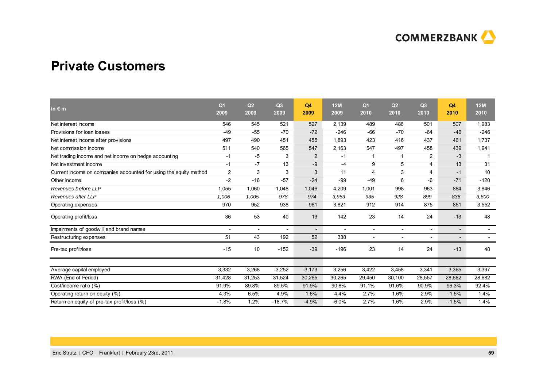

### **Private Customers**

| in $\epsilon$ m                                                   | Q <sub>1</sub><br>2009 | Q2<br>2009     | Q3<br>2009 | Q <sub>4</sub><br>2009   | <b>12M</b><br>2009 | Q <sub>1</sub><br>2010   | Q <sub>2</sub><br>2010   | Q3<br>2010               | Q4<br>2010               | <b>12M</b><br>2010       |
|-------------------------------------------------------------------|------------------------|----------------|------------|--------------------------|--------------------|--------------------------|--------------------------|--------------------------|--------------------------|--------------------------|
| Net interest income                                               | 546                    | 545            | 521        | 527                      | 2.139              | 489                      | 486                      | 501                      | 507                      | 1,983                    |
| Provisions for loan losses                                        | -49                    | $-55$          | $-70$      | $-72$                    | $-246$             | $-66$                    | $-70$                    | $-64$                    | $-46$                    | $-246$                   |
| Net interest income after provisions                              | 497                    | 490            | 451        | 455                      | 1,893              | 423                      | 416                      | 437                      | 461                      | 1.737                    |
| Net commission income                                             | 511                    | 540            | 565        | 547                      | 2,163              | 547                      | 497                      | 458                      | 439                      | 1,941                    |
| Net trading income and net income on hedge accounting             | $-1$                   | -5             | 3          | 2                        | $-1$               | -1                       | $\mathbf 1$              | $\overline{2}$           | $-3$                     | $\mathbf{1}$             |
| Net investment income                                             | $-1$                   | $-7$           | 13         | -9                       | $-4$               | 9                        | 5                        | $\overline{4}$           | 13                       | 31                       |
| Current income on companies accounted for using the equity method | $\overline{2}$         | 3              | 3          | 3                        | 11                 | $\overline{4}$           | 3                        | $\overline{4}$           | $-1$                     | 10                       |
| Other income                                                      | $-2$                   | $-16$          | $-57$      | $-24$                    | $-99$              | $-49$                    | 6                        | -6                       | $-71$                    | $-120$                   |
| Revenues before LLP                                               | 1,055                  | 1,060          | 1,048      | 1,046                    | 4.209              | 1,001                    | 998                      | 963                      | 884                      | 3,846                    |
| Revenues after LLP                                                | 1,006                  | 1,005          | 978        | 974                      | 3,963              | 935                      | 928                      | 899                      | 838                      | 3,600                    |
| Operating expenses                                                | 970                    | 952            | 938        | 961                      | 3,821              | 912                      | 914                      | 875                      | 851                      | 3,552                    |
| Operating profit/loss                                             | 36                     | 53             | 40         | 13                       | 142                | 23                       | 14                       | 24                       | $-13$                    | 48                       |
| Impairments of goodwill and brand names                           |                        | $\overline{a}$ |            | $\overline{\phantom{a}}$ |                    | $\overline{a}$           | $\overline{a}$           | $\blacksquare$           | $\overline{\phantom{a}}$ |                          |
| Restructuring expenses                                            | 51                     | 43             | 192        | 52                       | 338                | $\overline{\phantom{a}}$ | $\overline{\phantom{a}}$ | $\overline{\phantom{a}}$ | $\overline{\phantom{a}}$ | $\overline{\phantom{0}}$ |
| Pre-tax profit/loss                                               | $-15$                  | 10             | $-152$     | $-39$                    | $-196$             | 23                       | 14                       | 24                       | $-13$                    | 48                       |
| Average capital employed                                          | 3,332                  | 3,268          | 3,252      | 3,173                    | 3,256              | 3,422                    | 3,458                    | 3,341                    | 3,365                    | 3,397                    |
| RWA (End of Period)                                               | 31,428                 | 31,253         | 31,524     | 30,265                   | 30,265             | 29,450                   | 30,100                   | 28,557                   | 28,682                   | 28,682                   |
| Cost/income ratio (%)                                             | 91.9%                  | 89.8%          | 89.5%      | 91.9%                    | 90.8%              | 91.1%                    | 91.6%                    | 90.9%                    | 96.3%                    | 92.4%                    |
| Operating return on equity (%)                                    | 4.3%                   | 6.5%           | 4.9%       | 1.6%                     | 4.4%               | 2.7%                     | 1.6%                     | 2.9%                     | $-1.5%$                  | 1.4%                     |
| Return on equity of pre-tax profit/loss (%)                       | $-1.8%$                | 1.2%           | $-18.7%$   | $-4.9%$                  | $-6.0%$            | 2.7%                     | 1.6%                     | 2.9%                     | $-1.5%$                  | 1.4%                     |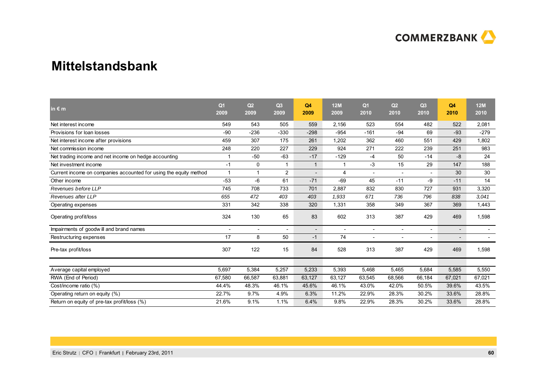

### **Mittelstandsbank**

| in $\epsilon$ m                                                   | Q <sub>1</sub><br>2009 | Q2<br>2009               | Q3<br>2009 | Q4<br>2009               | 12M<br>2009              | Q <sub>1</sub><br>2010   | Q2<br>2010               | Q <sub>3</sub><br>2010   | Q <sub>4</sub><br>2010   | <b>12M</b><br>2010 |
|-------------------------------------------------------------------|------------------------|--------------------------|------------|--------------------------|--------------------------|--------------------------|--------------------------|--------------------------|--------------------------|--------------------|
| Net interest income                                               | 549                    | 543                      | 505        | 559                      | 2,156                    | 523                      | 554                      | 482                      | 522                      | 2,081              |
| Provisions for loan losses                                        | -90                    | $-236$                   | $-330$     | $-298$                   | $-954$                   | $-161$                   | $-94$                    | 69                       | $-93$                    | $-279$             |
| Net interest income after provisions                              | 459                    | 307                      | 175        | 261                      | 1,202                    | 362                      | 460                      | 551                      | 429                      | 1,802              |
| Net commission income                                             | 248                    | 220                      | 227        | 229                      | 924                      | 271                      | 222                      | 239                      | 251                      | 983                |
| Net trading income and net income on hedge accounting             | 1                      | $-50$                    | $-63$      | $-17$                    | $-129$                   | $-4$                     | 50                       | $-14$                    | $-8$                     | 24                 |
| Net investment income                                             | $-1$                   | 0                        |            | $\mathbf{1}$             | 1                        | $-3$                     | 15                       | 29                       | 147                      | 188                |
| Current income on companies accounted for using the equity method | $\mathbf{1}$           | $\mathbf{1}$             | 2          | $\overline{\phantom{a}}$ | 4                        | $\overline{\phantom{a}}$ | $\overline{\phantom{a}}$ | $\overline{\phantom{a}}$ | 30                       | 30                 |
| Other income                                                      | $-53$                  | -6                       | 61         | $-71$                    | $-69$                    | 45                       | $-11$                    | -9                       | $-11$                    | 14                 |
| Revenues before LLP                                               | 745                    | 708                      | 733        | 701                      | 2,887                    | 832                      | 830                      | 727                      | 931                      | 3,320              |
| Revenues after LLP                                                | 655                    | 472                      | 403        | 403                      | 1,933                    | 671                      | 736                      | 796                      | 838                      | 3,041              |
| Operating expenses                                                | 331                    | 342                      | 338        | 320                      | 1,331                    | 358                      | 349                      | 367                      | 369                      | 1,443              |
| Operating profit/loss                                             | 324                    | 130                      | 65         | 83                       | 602                      | 313                      | 387                      | 429                      | 469                      | 1,598              |
| Impairments of goodwill and brand names                           |                        | $\overline{\phantom{0}}$ |            |                          | $\overline{\phantom{a}}$ | $\overline{\phantom{a}}$ |                          | $\overline{\phantom{a}}$ | $\overline{\phantom{a}}$ |                    |
| Restructuring expenses                                            | 17                     | 8                        | 50         | $-1$                     | 74                       | $\overline{\phantom{a}}$ |                          | $\overline{\phantom{a}}$ | $\overline{\phantom{a}}$ |                    |
| Pre-tax profit/loss                                               | 307                    | 122                      | 15         | 84                       | 528                      | 313                      | 387                      | 429                      | 469                      | 1,598              |
| Average capital employed                                          | 5,697                  | 5,384                    | 5,257      | 5,233                    | 5,393                    | 5,468                    | 5,465                    | 5,684                    | 5,585                    | 5,550              |
| RWA (End of Period)                                               | 67,580                 | 66,587                   | 63,881     | 63,127                   | 63,127                   | 63,545                   | 68,566                   | 66,184                   | 67,021                   | 67,021             |
| Cost/income ratio (%)                                             | 44.4%                  | 48.3%                    | 46.1%      | 45.6%                    | 46.1%                    | 43.0%                    | 42.0%                    | 50.5%                    | 39.6%                    | 43.5%              |
| Operating return on equity (%)                                    | 22.7%                  | 9.7%                     | 4.9%       | 6.3%                     | 11.2%                    | 22.9%                    | 28.3%                    | 30.2%                    | 33.6%                    | 28.8%              |
| Return on equity of pre-tax profit/loss (%)                       | 21.6%                  | 9.1%                     | 1.1%       | 6.4%                     | 9.8%                     | 22.9%                    | 28.3%                    | 30.2%                    | 33.6%                    | 28.8%              |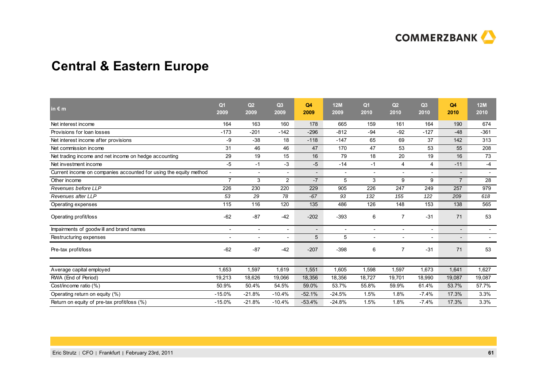

## **Central & Eastern Europe**

| in $\varepsilon$ m                                                | Q <sub>1</sub><br>2009   | Q <sub>2</sub><br>2009   | Q <sub>3</sub><br>2009   | Q4<br>2009               | <b>12M</b><br>2009 | Q <sub>1</sub><br>2010   | Q2<br>2010               | Q3<br>2010               | Q4<br>2010               | <b>12M</b><br>2010       |
|-------------------------------------------------------------------|--------------------------|--------------------------|--------------------------|--------------------------|--------------------|--------------------------|--------------------------|--------------------------|--------------------------|--------------------------|
| Net interest income                                               | 164                      | 163                      | 160                      | 178                      | 665                | 159                      | 161                      | 164                      | 190                      | 674                      |
| Provisions for loan losses                                        | $-173$                   | $-201$                   | $-142$                   | $-296$                   | $-812$             | $-94$                    | $-92$                    | $-127$                   | $-48$                    | $-361$                   |
| Net interest income after provisions                              | -9                       | $-38$                    | 18                       | $-118$                   | $-147$             | 65                       | 69                       | 37                       | 142                      | 313                      |
| Net commission income                                             | 31                       | 46                       | 46                       | 47                       | 170                | 47                       | 53                       | 53                       | 55                       | 208                      |
| Net trading income and net income on hedge accounting             | 29                       | 19                       | 15                       | 16                       | 79                 | 18                       | 20                       | 19                       | 16                       | 73                       |
| Net investment income                                             | $-5$                     | $-1$                     | $-3$                     | $-5$                     | $-14$              | $-1$                     | 4                        | 4                        | $-11$                    | $-4$                     |
| Current income on companies accounted for using the equity method | $\overline{\phantom{a}}$ | $\overline{\phantom{0}}$ |                          | $\overline{\phantom{0}}$ | $\overline{a}$     | $\overline{\phantom{0}}$ | $\overline{\phantom{a}}$ | $\overline{\phantom{0}}$ | $\overline{\phantom{a}}$ | $\overline{\phantom{a}}$ |
| Other income                                                      | $\overline{7}$           | 3                        | $\overline{2}$           | $-7$                     | 5                  | 3                        | 9                        | 9                        | $\overline{7}$           | 28                       |
| Revenues before LLP                                               | 226                      | 230                      | 220                      | 229                      | 905                | 226                      | 247                      | 249                      | 257                      | 979                      |
| Revenues after LLP                                                | 53                       | 29                       | 78                       | $-67$                    | 93                 | 132                      | 155                      | 122                      | 209                      | 618                      |
| Operating expenses                                                | 115                      | 116                      | 120                      | 135                      | 486                | 126                      | 148                      | 153                      | 138                      | 565                      |
| Operating profit/loss                                             | $-62$                    | $-87$                    | $-42$                    | $-202$                   | $-393$             | 6                        | $\overline{7}$           | $-31$                    | 71                       | 53                       |
| Impairments of goodwill and brand names                           | $\overline{\phantom{a}}$ | $\overline{\phantom{a}}$ |                          | $\overline{\phantom{a}}$ | $\overline{a}$     |                          | $\overline{a}$           |                          | $\overline{\phantom{a}}$ |                          |
| Restructuring expenses                                            | $\overline{\phantom{a}}$ | $\overline{\phantom{a}}$ | $\overline{\phantom{a}}$ | 5                        | 5                  | $\overline{\phantom{a}}$ | $\overline{\phantom{a}}$ | $\overline{\phantom{a}}$ | $\qquad \qquad -$        |                          |
| Pre-tax profit/loss                                               | $-62$                    | $-87$                    | $-42$                    | $-207$                   | $-398$             | 6                        | $\overline{7}$           | $-31$                    | 71                       | 53                       |
|                                                                   |                          |                          |                          |                          |                    |                          |                          |                          |                          |                          |
| Average capital employed                                          | 1,653                    | 1,597                    | 1,619                    | 1,551                    | 1,605              | 1,598                    | 1,597                    | 1,673                    | 1,641                    | 1,627                    |
| RWA (End of Period)                                               | 19,213                   | 18,626                   | 19,066                   | 18,356                   | 18,356             | 18,727                   | 19,701                   | 18,990                   | 19,087                   | 19,087                   |
| Cost/income ratio (%)                                             | 50.9%                    | 50.4%                    | 54.5%                    | 59.0%                    | 53.7%              | 55.8%                    | 59.9%                    | 61.4%                    | 53.7%                    | 57.7%                    |
| Operating return on equity (%)                                    | $-15.0%$                 | $-21.8%$                 | $-10.4%$                 | $-52.1%$                 | $-24.5%$           | 1.5%                     | 1.8%                     | $-7.4%$                  | 17.3%                    | 3.3%                     |
| Return on equity of pre-tax profit/loss (%)                       | $-15.0%$                 | $-21.8%$                 | $-10.4%$                 | $-53.4%$                 | $-24.8%$           | 1.5%                     | 1.8%                     | $-7.4%$                  | 17.3%                    | 3.3%                     |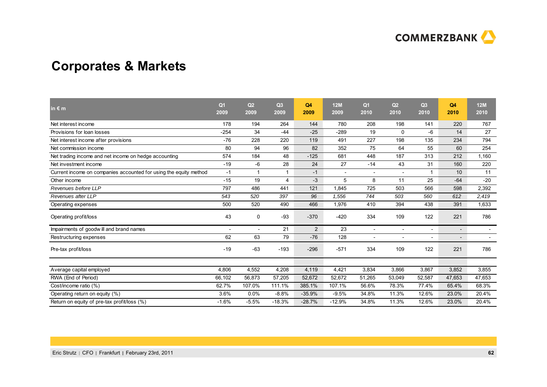

## **Corporates & Markets**

| in $\epsilon$ m                                                   | Q <sub>1</sub><br>2009 | Q <sub>2</sub><br>2009   | Q3<br>2009     | Q4<br>2009     | <b>12M</b><br>2009       | Q <sub>1</sub><br>2010   | Q2<br>2010               | Q3<br>2010               | Q4<br>2010               | <b>12M</b><br>2010 |
|-------------------------------------------------------------------|------------------------|--------------------------|----------------|----------------|--------------------------|--------------------------|--------------------------|--------------------------|--------------------------|--------------------|
| Net interest income                                               | 178                    | 194                      | 264            | 144            | 780                      | 208                      | 198                      | 141                      | 220                      | 767                |
| Provisions for loan losses                                        | $-254$                 | 34                       | $-44$          | $-25$          | $-289$                   | 19                       | 0                        | -6                       | 14                       | 27                 |
| Net interest income after provisions                              | $-76$                  | 228                      | 220            | 119            | 491                      | 227                      | 198                      | 135                      | 234                      | 794                |
| Net commission income                                             | 80                     | 94                       | 96             | 82             | 352                      | 75                       | 64                       | 55                       | 60                       | 254                |
| Net trading income and net income on hedge accounting             | 574                    | 184                      | 48             | $-125$         | 681                      | 448                      | 187                      | 313                      | 212                      | 1,160              |
| Net investment income                                             | $-19$                  | -6                       | 28             | 24             | 27                       | $-14$                    | 43                       | 31                       | 160                      | 220                |
| Current income on companies accounted for using the equity method | $-1$                   | -1                       |                | $-1$           | $\overline{\phantom{a}}$ | $\blacksquare$           | $\blacksquare$           | -1                       | 10                       | 11                 |
| Other income                                                      | $-15$                  | 19                       | $\overline{4}$ | $-3$           | 5                        | 8                        | 11                       | 25                       | $-64$                    | $-20$              |
| Revenues before LLP                                               | 797                    | 486                      | 441            | 121            | 1,845                    | 725                      | 503                      | 566                      | 598                      | 2,392              |
| Revenues after LLP                                                | 543                    | 520                      | 397            | 96             | 1,556                    | 744                      | 503                      | 560                      | 612                      | 2,419              |
| Operating expenses                                                | 500                    | 520                      | 490            | 466            | 1,976                    | 410                      | 394                      | 438                      | 391                      | 1,633              |
| Operating profit/loss                                             | 43                     | $\Omega$                 | $-93$          | $-370$         | $-420$                   | 334                      | 109                      | 122                      | 221                      | 786                |
| Impairments of goodwill and brand names                           |                        | $\overline{\phantom{a}}$ | 21             | $\overline{2}$ | 23                       | $\overline{\phantom{a}}$ | $\overline{\phantom{a}}$ |                          | $\overline{\phantom{a}}$ |                    |
| Restructuring expenses                                            | 62                     | 63                       | 79             | $-76$          | 128                      | $\overline{\phantom{a}}$ |                          | $\overline{\phantom{a}}$ | $\overline{\phantom{a}}$ |                    |
| Pre-tax profit/loss                                               | $-19$                  | $-63$                    | $-193$         | $-296$         | $-571$                   | 334                      | 109                      | 122                      | 221                      | 786                |
| Average capital employed                                          | 4,806                  | 4.552                    | 4,208          | 4,119          | 4,421                    | 3,834                    | 3.866                    | 3,867                    | 3,852                    | 3,855              |
| RWA (End of Period)                                               | 66,102                 | 56,873                   | 57,205         | 52,672         | 52,672                   | 51,265                   | 53,049                   | 52,587                   | 47,653                   | 47,653             |
| Cost/income ratio (%)                                             | 62.7%                  | 107.0%                   | 111.1%         | 385.1%         | 107.1%                   | 56.6%                    | 78.3%                    | 77.4%                    | 65.4%                    | 68.3%              |
| Operating return on equity (%)                                    | 3.6%                   | 0.0%                     | $-8.8%$        | $-35.9%$       | $-9.5%$                  | 34.8%                    | 11.3%                    | 12.6%                    | 23.0%                    | 20.4%              |
| Return on equity of pre-tax profit/loss (%)                       | $-1.6%$                | $-5.5%$                  | $-18.3%$       | $-28.7%$       | $-12.9%$                 | 34.8%                    | 11.3%                    | 12.6%                    | 23.0%                    | 20.4%              |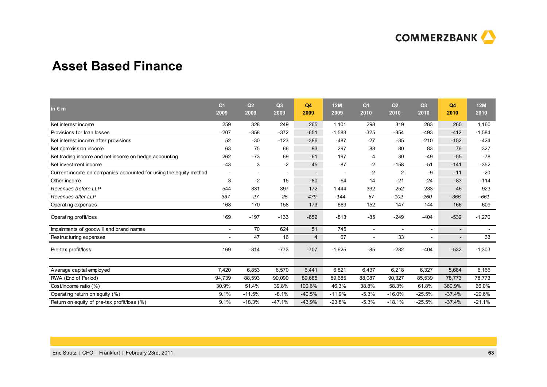

### **Asset Based Finance**

| in $\epsilon$ m                                                   | Q <sub>1</sub><br>2009   | Q <sub>2</sub><br>2009 | Q3<br>2009               | Q4<br>2009               | <b>12M</b><br>2009 | Q <sub>1</sub><br>2010   | Q <sub>2</sub><br>2010 | Q3<br>2010               | Q4<br>2010               | 12M<br>2010 |
|-------------------------------------------------------------------|--------------------------|------------------------|--------------------------|--------------------------|--------------------|--------------------------|------------------------|--------------------------|--------------------------|-------------|
| Net interest income                                               | 259                      | 328                    | 249                      | 265                      | 1,101              | 298                      | 319                    | 283                      | 260                      | 1,160       |
| Provisions for loan losses                                        | $-207$                   | $-358$                 | $-372$                   | $-651$                   | $-1,588$           | $-325$                   | $-354$                 | $-493$                   | $-412$                   | $-1,584$    |
| Net interest income after provisions                              | 52                       | $-30$                  | $-123$                   | $-386$                   | $-487$             | $-27$                    | $-35$                  | $-210$                   | $-152$                   | $-424$      |
| Net commission income                                             | 63                       | 75                     | 66                       | 93                       | 297                | 88                       | 80                     | 83                       | 76                       | 327         |
| Net trading income and net income on hedge accounting             | 262                      | $-73$                  | 69                       | $-61$                    | 197                | $-4$                     | 30                     | $-49$                    | $-55$                    | $-78$       |
| Net investment income                                             | $-43$                    | 3                      | $-2$                     | $-45$                    | $-87$              | $-2$                     | $-158$                 | $-51$                    | $-141$                   | $-352$      |
| Current income on companies accounted for using the equity method | $\overline{\phantom{a}}$ | $\overline{a}$         | $\overline{\phantom{0}}$ | $\overline{\phantom{0}}$ | $\overline{a}$     | $-2$                     | 2                      | $-9$                     | $-11$                    | $-20$       |
| Other income                                                      | 3                        | $-2$                   | 15                       | $-80$                    | $-64$              | 14                       | $-21$                  | $-24$                    | $-83$                    | $-114$      |
| Revenues before LLP                                               | 544                      | 331                    | 397                      | 172                      | 1,444              | 392                      | 252                    | 233                      | 46                       | 923         |
| Revenues after LLP                                                | 337                      | $-27$                  | 25                       | $-479$                   | $-144$             | 67                       | $-102$                 | $-260$                   | $-366$                   | $-661$      |
| Operating expenses                                                | 168                      | 170                    | 158                      | 173                      | 669                | 152                      | 147                    | 144                      | 166                      | 609         |
| Operating profit/loss                                             | 169                      | $-197$                 | $-133$                   | $-652$                   | $-813$             | $-85$                    | $-249$                 | $-404$                   | $-532$                   | $-1,270$    |
| Impairments of goodwill and brand names                           |                          | 70                     | 624                      | 51                       | 745                | $\overline{\phantom{a}}$ |                        |                          | $\overline{\phantom{a}}$ |             |
| Restructuring expenses                                            | $\overline{a}$           | 47                     | 16                       | $\overline{4}$           | 67                 | $\overline{\phantom{a}}$ | 33                     | $\overline{\phantom{a}}$ |                          | 33          |
| Pre-tax profit/loss                                               | 169                      | $-314$                 | $-773$                   | $-707$                   | $-1,625$           | $-85$                    | $-282$                 | $-404$                   | $-532$                   | $-1,303$    |
| Average capital employed                                          | 7,420                    | 6.853                  | 6,570                    | 6,441                    | 6,821              | 6,437                    | 6.218                  | 6,327                    | 5,684                    | 6,166       |
| RWA (End of Period)                                               | 94,739                   | 88,593                 | 90,090                   | 89,685                   | 89,685             | 88,087                   | 90,327                 | 85,539                   | 78,773                   | 78,773      |
| Cost/income ratio (%)                                             | 30.9%                    | 51.4%                  | 39.8%                    | 100.6%                   | 46.3%              | 38.8%                    | 58.3%                  | 61.8%                    | 360.9%                   | 66.0%       |
| Operating return on equity (%)                                    | 9.1%                     | $-11.5%$               | $-8.1%$                  | $-40.5%$                 | $-11.9%$           | $-5.3%$                  | $-16.0%$               | $-25.5%$                 | $-37.4%$                 | $-20.6%$    |
| Return on equity of pre-tax profit/loss (%)                       | 9.1%                     | $-18.3%$               | $-47.1%$                 | $-43.9%$                 | $-23.8%$           | $-5.3%$                  | $-18.1%$               | $-25.5%$                 | $-37.4%$                 | $-21.1%$    |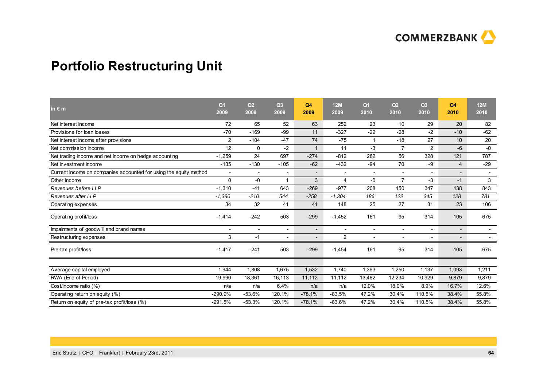

## **Portfolio Restructuring Unit**

| in $\notin$ m                                                     | Q <sub>1</sub><br>2009   | Q <sub>2</sub><br>2009   | Q3<br>2009 | Q4<br>2009               | <b>12M</b><br>2009       | Q <sub>1</sub><br>2010   | Q <sub>2</sub><br>2010   | Q3<br>2010               | Q4<br>2010               | <b>12M</b><br>2010       |
|-------------------------------------------------------------------|--------------------------|--------------------------|------------|--------------------------|--------------------------|--------------------------|--------------------------|--------------------------|--------------------------|--------------------------|
| Net interest income                                               | 72                       | 65                       | 52         | 63                       | 252                      | 23                       | 10                       | 29                       | 20                       | 82                       |
| Provisions for loan losses                                        | $-70$                    | $-169$                   | -99        | 11                       | $-327$                   | $-22$                    | $-28$                    | $-2$                     | $-10$                    | $-62$                    |
| Net interest income after provisions                              | $\overline{2}$           | $-104$                   | $-47$      | 74                       | $-75$                    |                          | $-18$                    | 27                       | 10                       | 20                       |
| Net commission income                                             | 12                       | $\mathbf 0$              | $-2$       | $\mathbf 1$              | 11                       | -3                       | $\overline{7}$           | $\overline{2}$           | $-6$                     | $-0$                     |
| Net trading income and net income on hedge accounting             | $-1,259$                 | 24                       | 697        | $-274$                   | $-812$                   | 282                      | 56                       | 328                      | 121                      | 787                      |
| Net investment income                                             | $-135$                   | $-130$                   | $-105$     | $-62$                    | $-432$                   | $-94$                    | 70                       | -9                       | $\overline{4}$           | $-29$                    |
| Current income on companies accounted for using the equity method | $\overline{\phantom{a}}$ | $\overline{\phantom{a}}$ |            | $\overline{\phantom{a}}$ | $\overline{\phantom{a}}$ | $\overline{\phantom{a}}$ | $\overline{\phantom{a}}$ |                          | $\overline{a}$           | $\overline{\phantom{a}}$ |
| Other income                                                      | $\Omega$                 | $-0$                     | -1         | 3                        | 4                        | -0                       | $\overline{7}$           | -3                       | $-1$                     | 3                        |
| Revenues before LLP                                               | $-1,310$                 | $-41$                    | 643        | $-269$                   | $-977$                   | 208                      | 150                      | 347                      | 138                      | 843                      |
| Revenues after LLP                                                | $-1,380$                 | $-210$                   | 544        | $-258$                   | $-1,304$                 | 186                      | 122                      | 345                      | 128                      | 781                      |
| Operating expenses                                                | 34                       | 32                       | 41         | 41                       | 148                      | 25                       | 27                       | 31                       | 23                       | 106                      |
| Operating profit/loss                                             | $-1,414$                 | $-242$                   | 503        | $-299$                   | $-1,452$                 | 161                      | 95                       | 314                      | 105                      | 675                      |
| Impairments of goodwill and brand names                           | $\overline{a}$           | $\overline{a}$           |            | $\overline{\phantom{a}}$ | $\overline{a}$           | $\overline{a}$           | $\overline{\phantom{a}}$ | $\overline{\phantom{0}}$ | $\overline{a}$           |                          |
| Restructuring expenses                                            | 3                        | $-1$                     |            |                          | $\overline{2}$           | $\overline{\phantom{a}}$ |                          |                          | $\overline{\phantom{a}}$ |                          |
| Pre-tax profit/loss                                               | $-1,417$                 | $-241$                   | 503        | $-299$                   | $-1,454$                 | 161                      | 95                       | 314                      | 105                      | 675                      |
| Average capital employed                                          | 1,944                    | 1,808                    | 1,675      | 1,532                    | 1,740                    | 1,363                    | 1,250                    | 1,137                    | 1,093                    | 1,211                    |
| RWA (End of Period)                                               | 19,990                   | 18,361                   | 16,113     | 11,112                   | 11,112                   | 13,462                   | 12,234                   | 10,929                   | 9,879                    | 9,879                    |
| Cost/income ratio (%)                                             | n/a                      | n/a                      | 6.4%       | n/a                      | n/a                      | 12.0%                    | 18.0%                    | 8.9%                     | 16.7%                    | 12.6%                    |
| Operating return on equity (%)                                    | $-290.9%$                | $-53.6%$                 | 120.1%     | $-78.1%$                 | $-83.5%$                 | 47.2%                    | 30.4%                    | 110.5%                   | 38.4%                    | 55.8%                    |
| Return on equity of pre-tax profit/loss (%)                       | $-291.5%$                | $-53.3%$                 | 120.1%     | $-78.1%$                 | $-83.6%$                 | 47.2%                    | 30.4%                    | 110.5%                   | 38.4%                    | 55.8%                    |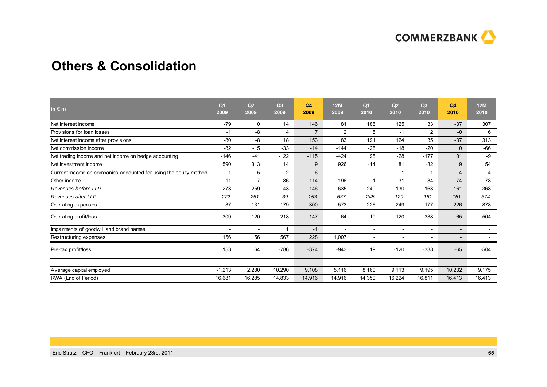

### **Others & Consolidation**

| in $\epsilon$ m                                                   | Q <sub>1</sub><br>2009 | Q2<br>2009               | Q3<br>2009     | Q4<br>2009     | <b>12M</b><br>2009       | Q <sub>1</sub><br>2010   | Q2<br>2010               | Q3<br>2010               | Q4<br>2010               | 12M<br>2010              |
|-------------------------------------------------------------------|------------------------|--------------------------|----------------|----------------|--------------------------|--------------------------|--------------------------|--------------------------|--------------------------|--------------------------|
| Net interest income                                               | $-79$                  | 0                        | 14             | 146            | 81                       | 186                      | 125                      | 33                       | $-37$                    | 307                      |
| Provisions for loan losses                                        | $-1$                   | -8                       | $\overline{4}$ | $\overline{7}$ | $\overline{2}$           | 5                        | $-1$                     | $\overline{2}$           | -0                       | 6                        |
| Net interest income after provisions                              | $-80$                  | -8                       | 18             | 153            | 83                       | 191                      | 124                      | 35                       | $-37$                    | 313                      |
| Net commission income                                             | $-82$                  | $-15$                    | $-33$          | $-14$          | $-144$                   | $-28$                    | $-18$                    | $-20$                    | $\mathbf{0}$             | $-66$                    |
| Net trading income and net income on hedge accounting             | $-146$                 | $-41$                    | $-122$         | $-115$         | $-424$                   | 95                       | $-28$                    | $-177$                   | 101                      | -9                       |
| Net investment income                                             | 590                    | 313                      | 14             | 9              | 926                      | $-14$                    | 81                       | $-32$                    | 19                       | 54                       |
| Current income on companies accounted for using the equity method | 1                      | -5                       | $-2$           | 6              | $\overline{\phantom{a}}$ | $\overline{\phantom{0}}$ |                          | $-1$                     | $\overline{4}$           | 4                        |
| Other income                                                      | $-11$                  | $\overline{7}$           | 86             | 114            | 196                      |                          | $-31$                    | 34                       | 74                       | 78                       |
| Revenues before LLP                                               | 273                    | 259                      | $-43$          | 146            | 635                      | 240                      | 130                      | $-163$                   | 161                      | 368                      |
| Revenues after LLP                                                | 272                    | 251                      | $-39$          | 153            | 637                      | 245                      | 129                      | $-161$                   | 161                      | 374                      |
| Operating expenses                                                | $-37$                  | 131                      | 179            | 300            | 573                      | 226                      | 249                      | 177                      | 226                      | 878                      |
| Operating profit/loss                                             | 309                    | 120                      | $-218$         | $-147$         | 64                       | 19                       | $-120$                   | $-338$                   | $-65$                    | $-504$                   |
| Impairments of goodwill and brand names                           |                        | $\overline{\phantom{a}}$ |                | $-1$           |                          | $\overline{\phantom{0}}$ | $\overline{\phantom{a}}$ | $\overline{\phantom{a}}$ |                          |                          |
| Restructuring expenses                                            | 156                    | 56                       | 567            | 228            | 1,007                    | $\overline{\phantom{a}}$ | $\overline{\phantom{a}}$ | $\overline{\phantom{a}}$ | $\overline{\phantom{a}}$ | $\overline{\phantom{0}}$ |
| Pre-tax profit/loss                                               | 153                    | 64                       | $-786$         | $-374$         | $-943$                   | 19                       | $-120$                   | $-338$                   | $-65$                    | $-504$                   |
| Average capital employed                                          | $-1,213$               | 2,280                    | 10,290         | 9,108          | 5,116                    | 8,160                    | 9,113                    | 9,195                    | 10,232                   | 9,175                    |
| RWA (End of Period)                                               | 16,681                 | 16,285                   | 14,833         | 14,916         | 14,916                   | 14,350                   | 16,224                   | 16,811                   | 16,413                   | 16,413                   |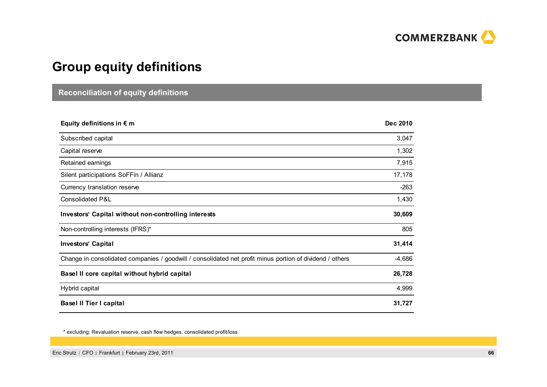

## **Group equity definitions**

### **Reconciliation of equity definitions**

| Equity definitions in $\epsilon$ m                                                                       | <b>Dec 2010</b> |
|----------------------------------------------------------------------------------------------------------|-----------------|
| Subscribed capital                                                                                       | 3,047           |
| Capital reserve                                                                                          | 1,302           |
| Retained earnings                                                                                        | 7,915           |
| Silent participations SoFFin / Allianz                                                                   | 17,178          |
| Currency translation reserve                                                                             | $-263$          |
| Consolidated P&L                                                                                         | 1,430           |
| Investors' Capital without non-controlling interests                                                     | 30,609          |
| Non-controlling interests (IFRS)*                                                                        | 805             |
| <b>Investors' Capital</b>                                                                                | 31,414          |
| Change in consolidated companies / goodwill / consolidated net profit minus portion of dividend / others | $-4,686$        |
| Basel II core capital without hybrid capital                                                             | 26,728          |
| Hybrid capital                                                                                           | 4,999           |
| <b>Basel II Tier I capital</b>                                                                           | 31,727          |

\* excluding: Revaluation reserve, cash flow hedges, consolidated profit/loss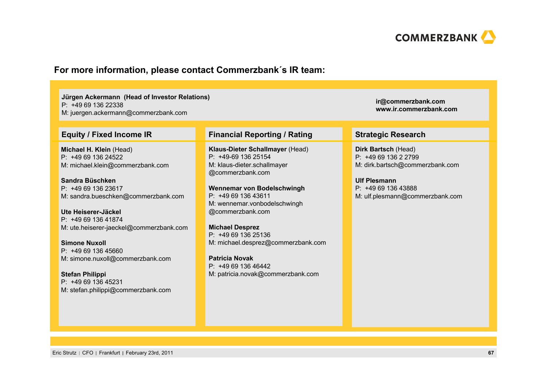

### **For more information, please contact Commerzbank´s IR team:**

**Jürgen Ackermann (Head of Investor Relations)** P: +49 69 136 22338M: juergen.ackermann@commerzbank.com

**Michael H. Klein** (Head)  $P: +496913624522$ M: michael.klein@commerzbank.com

**Sandra Büschken**P: +49 69 136 23617M: sandra.bueschken@commerzbank.com

**Ute Heiserer-Jäckel**P: +49 69 136 41874M: ute.heiserer-jaeckel@commerzbank.com

**Simone Nuxoll**P: +49 69 136 45660M: simone.nuxoll@commerzbank.com

**Stefan Philippi** P: +49 69 136 45231M: stefan.philippi@commerzbank.com

### **Equity / Fixed Income IR Financial Reporting / Rating Strategic Research**

**Klaus-Dieter Schallmayer** (Head) P: +49-69 136 25154M: klaus-dieter.schallmayer @commerzbank.com

**Wennemar von Bodelschwingh** P: +49 69 136 43611M: wennemar.vonbodelschwingh @commerzbank.com

**Michael Desprez** P: +49 69 136 25136M: michael.desprez@commerzbank.com

**Patricia Novak**P: +49 69 136 46442M: patricia.novak@commerzbank.com

**ir@commerzbank.com www.ir.commerzbank.com**

**Dirk Bartsch** (Head) P: +49 69 136 2 2799 M: dirk.bartsch@commerzbank.com

M: ulf.plesmann@commerzbank.com

**Ulf Plesmann**P: +49 69 136 43888